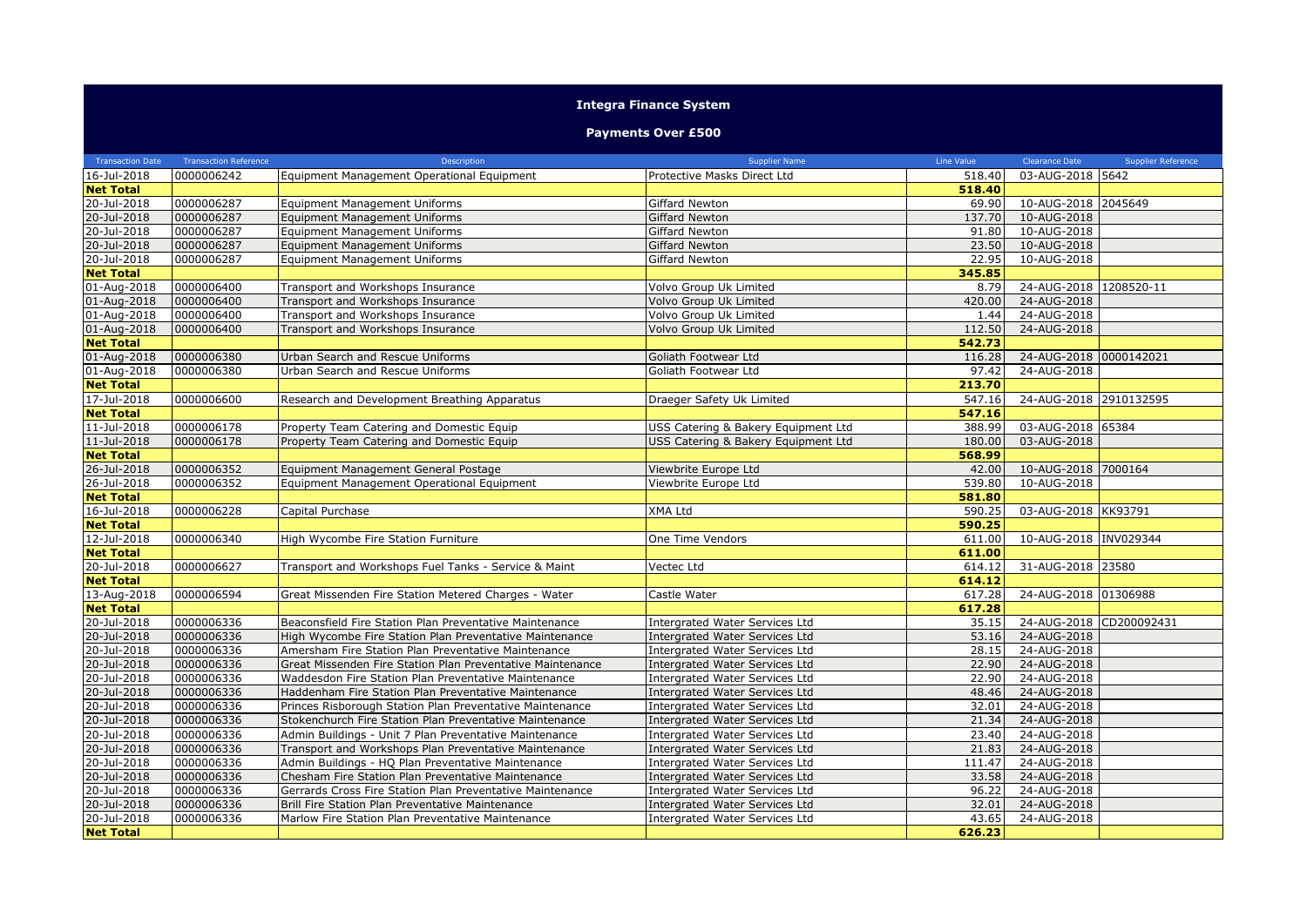## **Integra Finance System**

## **Payments Over £500**

| <b>Transaction Date</b>    | <b>Transaction Reference</b> | Description                                                                                           | <b>Supplier Name</b>                                                    | Line Value     | <b>Clearance Date</b>      | Supplier Reference |
|----------------------------|------------------------------|-------------------------------------------------------------------------------------------------------|-------------------------------------------------------------------------|----------------|----------------------------|--------------------|
| 16-Jul-2018                | 0000006242                   | Equipment Management Operational Equipment                                                            | Protective Masks Direct Ltd                                             | 518.40         | 03-AUG-2018 5642           |                    |
| <b>Net Total</b>           |                              |                                                                                                       |                                                                         | 518.40         |                            |                    |
| 20-Jul-2018                | 0000006287                   | <b>Equipment Management Uniforms</b>                                                                  | Giffard Newton                                                          | 69.90          | 10-AUG-2018 2045649        |                    |
| 20-Jul-2018                | 0000006287                   | Equipment Management Uniforms                                                                         | Giffard Newton                                                          | 137.70         | 10-AUG-2018                |                    |
| 20-Jul-2018                | 0000006287                   | Equipment Management Uniforms                                                                         | Giffard Newton                                                          | 91.80          | 10-AUG-2018                |                    |
| 20-Jul-2018                | 0000006287                   | Equipment Management Uniforms                                                                         | Giffard Newton                                                          | 23.50          | 10-AUG-2018                |                    |
| 20-Jul-2018                | 0000006287                   | Equipment Management Uniforms                                                                         | Giffard Newton                                                          | 22.95          | 10-AUG-2018                |                    |
| <b>Net Total</b>           |                              |                                                                                                       |                                                                         | 345.85         |                            |                    |
| 01-Aug-2018                | 0000006400                   | Transport and Workshops Insurance                                                                     | Volvo Group Uk Limited                                                  | 8.79           | 24-AUG-2018 1208520-11     |                    |
| 01-Aug-2018                | 0000006400                   | Transport and Workshops Insurance                                                                     | Volvo Group Uk Limited                                                  | 420.00         | 24-AUG-2018                |                    |
| 01-Aug-2018                | 0000006400                   | Transport and Workshops Insurance                                                                     | Volvo Group Uk Limited                                                  | 1.44           | 24-AUG-2018                |                    |
| 01-Aug-2018                | 0000006400                   | Transport and Workshops Insurance                                                                     | Volvo Group Uk Limited                                                  | 112.50         | 24-AUG-2018                |                    |
| <b>Net Total</b>           |                              |                                                                                                       |                                                                         | 542.73         |                            |                    |
| 01-Aug-2018                | 0000006380                   | Urban Search and Rescue Uniforms                                                                      | Goliath Footwear Ltd                                                    | 116.28         | 24-AUG-2018 0000142021     |                    |
| 01-Aug-2018                | 0000006380                   | Urban Search and Rescue Uniforms                                                                      | Goliath Footwear Ltd                                                    | 97.42          | 24-AUG-2018                |                    |
| <b>Net Total</b>           |                              |                                                                                                       |                                                                         | 213.70         |                            |                    |
| 17-Jul-2018                | 0000006600                   | Research and Development Breathing Apparatus                                                          | Draeger Safety Uk Limited                                               | 547.16         | 24-AUG-2018 2910132595     |                    |
| <b>Net Total</b>           |                              |                                                                                                       |                                                                         | 547.16         |                            |                    |
| 11-Jul-2018                | 0000006178                   | Property Team Catering and Domestic Equip                                                             | USS Catering & Bakery Equipment Ltd                                     | 388.99         | 03-AUG-2018 65384          |                    |
| 11-Jul-2018                | 0000006178                   | Property Team Catering and Domestic Equip                                                             | USS Catering & Bakery Equipment Ltd                                     | 180.00         | 03-AUG-2018                |                    |
| <b>Net Total</b>           |                              |                                                                                                       |                                                                         | 568.99         |                            |                    |
| 26-Jul-2018                | 0000006352                   | Equipment Management General Postage                                                                  | Viewbrite Europe Ltd                                                    | 42.00          | 10-AUG-2018 7000164        |                    |
| 26-Jul-2018                | 0000006352                   | Equipment Management Operational Equipment                                                            | Viewbrite Europe Ltd                                                    | 539.80         | 10-AUG-2018                |                    |
| <b>Net Total</b>           |                              |                                                                                                       |                                                                         | 581.80         |                            |                    |
| 16-Jul-2018                | 0000006228                   | Capital Purchase                                                                                      | XMA Ltd                                                                 | 590.25         | 03-AUG-2018 KK93791        |                    |
| <b>Net Total</b>           |                              |                                                                                                       |                                                                         | 590.25         |                            |                    |
| 12-Jul-2018                | 0000006340                   | High Wycombe Fire Station Furniture                                                                   | One Time Vendors                                                        | 611.00         | 10-AUG-2018 INV029344      |                    |
| <b>Net Total</b>           |                              |                                                                                                       |                                                                         | 611.00         |                            |                    |
| 20-Jul-2018                | 0000006627                   | Transport and Workshops Fuel Tanks - Service & Maint                                                  | Vectec Ltd                                                              | 614.12         | 31-AUG-2018 23580          |                    |
| <b>Net Total</b>           |                              |                                                                                                       |                                                                         | 614.12         |                            |                    |
| 13-Aug-2018                | 0000006594                   | Great Missenden Fire Station Metered Charges - Water                                                  | Castle Water                                                            | 617.28         | 24-AUG-2018 01306988       |                    |
| <b>Net Total</b>           |                              |                                                                                                       |                                                                         | 617.28         |                            |                    |
| 20-Jul-2018                | 0000006336                   | Beaconsfield Fire Station Plan Preventative Maintenance                                               | Intergrated Water Services Ltd                                          | 35.15          | 24-AUG-2018 CD200092431    |                    |
| 20-Jul-2018                | 0000006336                   | High Wycombe Fire Station Plan Preventative Maintenance                                               | Intergrated Water Services Ltd                                          | 53.16          | 24-AUG-2018                |                    |
| 20-Jul-2018                | 0000006336                   | Amersham Fire Station Plan Preventative Maintenance                                                   | <b>Intergrated Water Services Ltd</b>                                   | 28.15          | 24-AUG-2018                |                    |
| 20-Jul-2018                | 0000006336                   | Great Missenden Fire Station Plan Preventative Maintenance                                            | Intergrated Water Services Ltd                                          | 22.90          | 24-AUG-2018                |                    |
| 20-Jul-2018                | 0000006336                   | Waddesdon Fire Station Plan Preventative Maintenance                                                  | <b>Intergrated Water Services Ltd</b>                                   | 22.90          | 24-AUG-2018                |                    |
| 20-Jul-2018                | 0000006336                   | Haddenham Fire Station Plan Preventative Maintenance                                                  | <b>Intergrated Water Services Ltd</b>                                   | 48.46          | 24-AUG-2018                |                    |
| 20-Jul-2018                | 0000006336                   | Princes Risborough Station Plan Preventative Maintenance                                              | <b>Intergrated Water Services Ltd</b>                                   | 32.01          | 24-AUG-2018                |                    |
| 20-Jul-2018                | 0000006336                   | Stokenchurch Fire Station Plan Preventative Maintenance                                               | Intergrated Water Services Ltd                                          | 21.34          | 24-AUG-2018                |                    |
| 20-Jul-2018                | 0000006336                   | Admin Buildings - Unit 7 Plan Preventative Maintenance                                                | Intergrated Water Services Ltd                                          | 23.40<br>21.83 | 24-AUG-2018<br>24-AUG-2018 |                    |
| 20-Jul-2018                | 0000006336                   | Transport and Workshops Plan Preventative Maintenance                                                 | Intergrated Water Services Ltd                                          |                |                            |                    |
| 20-Jul-2018                | 0000006336                   | Admin Buildings - HQ Plan Preventative Maintenance                                                    | Intergrated Water Services Ltd                                          | 111.47         | 24-AUG-2018                |                    |
| 20-Jul-2018                | 0000006336                   | Chesham Fire Station Plan Preventative Maintenance                                                    | Intergrated Water Services Ltd                                          | 33.58          | 24-AUG-2018                |                    |
| 20-Jul-2018<br>20-Jul-2018 | 0000006336                   | Gerrards Cross Fire Station Plan Preventative Maintenance                                             | Intergrated Water Services Ltd                                          | 96.22          | 24-AUG-2018                |                    |
| $20 -$ Jul-2018            | 0000006336<br>0000006336     | Brill Fire Station Plan Preventative Maintenance<br>Marlow Fire Station Plan Preventative Maintenance | Intergrated Water Services Ltd<br><b>Intergrated Water Services Ltd</b> | 32.01<br>43.65 | 24-AUG-2018<br>24-AUG-2018 |                    |
|                            |                              |                                                                                                       |                                                                         | 626.23         |                            |                    |
| <b>Net Total</b>           |                              |                                                                                                       |                                                                         |                |                            |                    |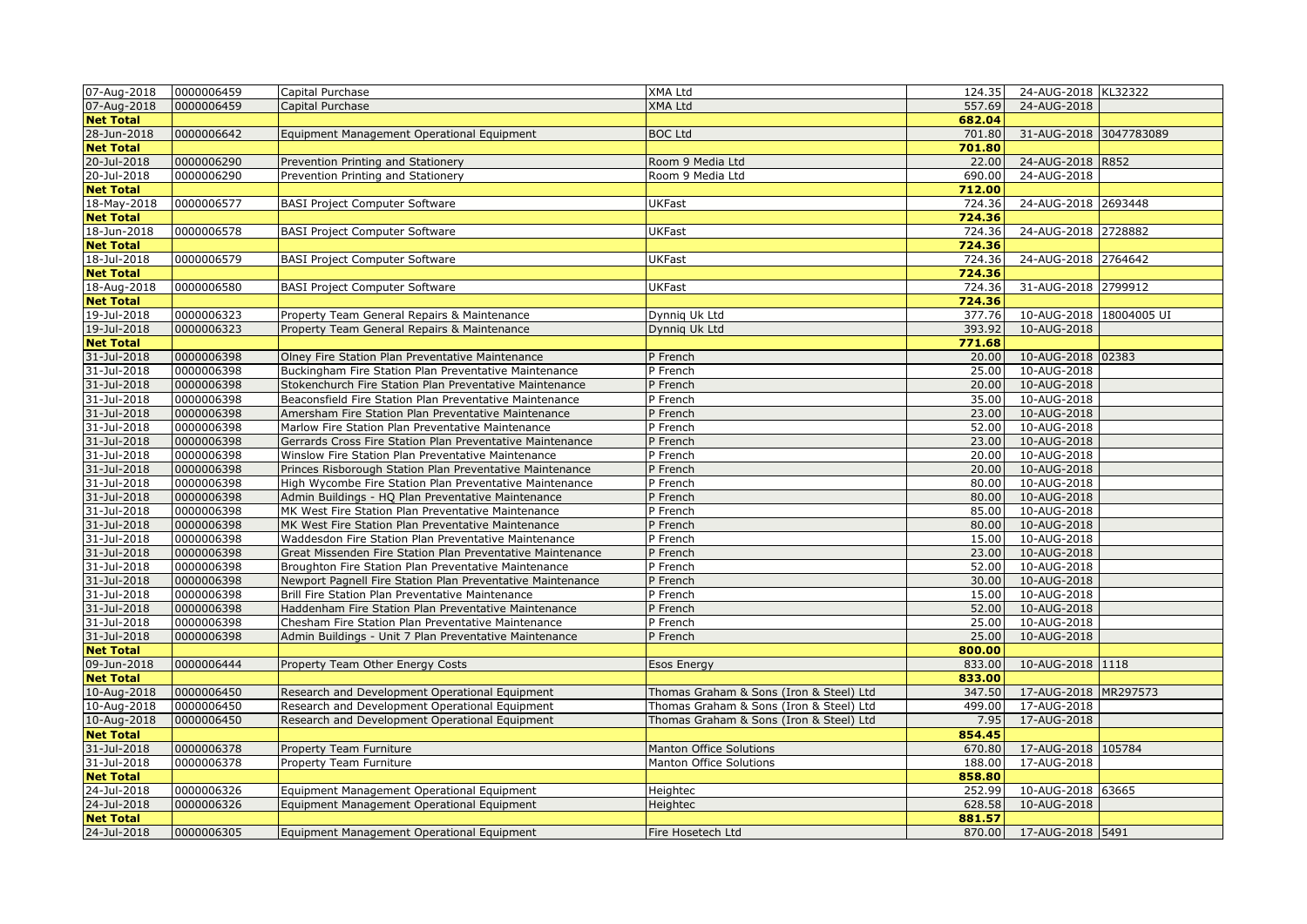| 07-Aug-2018      | 0000006459 | Capital Purchase                                           | XMA Ltd                                 | 124.35 | 24-AUG-2018 KL32322     |
|------------------|------------|------------------------------------------------------------|-----------------------------------------|--------|-------------------------|
| 07-Aug-2018      | 0000006459 | Capital Purchase                                           | <b>XMA Ltd</b>                          | 557.69 | 24-AUG-2018             |
| <b>Net Total</b> |            |                                                            |                                         | 682.04 |                         |
| 28-Jun-2018      | 0000006642 | Equipment Management Operational Equipment                 | <b>BOC Ltd</b>                          | 701.80 | 31-AUG-2018 3047783089  |
| <b>Net Total</b> |            |                                                            |                                         | 701.80 |                         |
| 20-Jul-2018      | 0000006290 | Prevention Printing and Stationery                         | Room 9 Media Ltd                        | 22.00  | 24-AUG-2018 R852        |
| 20-Jul-2018      | 0000006290 | Prevention Printing and Stationery                         | Room 9 Media Ltd                        | 690.00 | 24-AUG-2018             |
| <b>Net Total</b> |            |                                                            |                                         | 712.00 |                         |
| 18-May-2018      | 0000006577 | <b>BASI Project Computer Software</b>                      | <b>UKFast</b>                           | 724.36 | 24-AUG-2018 2693448     |
| <b>Net Total</b> |            |                                                            |                                         | 724.36 |                         |
| 18-Jun-2018      | 0000006578 | <b>BASI Project Computer Software</b>                      | <b>UKFast</b>                           | 724.36 | 24-AUG-2018 2728882     |
| <b>Net Total</b> |            |                                                            |                                         | 724.36 |                         |
| 18-Jul-2018      | 0000006579 | <b>BASI Project Computer Software</b>                      | <b>UKFast</b>                           | 724.36 | 24-AUG-2018 2764642     |
| <b>Net Total</b> |            |                                                            |                                         | 724.36 |                         |
| 18-Aug-2018      | 0000006580 | <b>BASI Project Computer Software</b>                      | <b>UKFast</b>                           | 724.36 | 31-AUG-2018 2799912     |
| <b>Net Total</b> |            |                                                            |                                         | 724.36 |                         |
| 19-Jul-2018      | 0000006323 | Property Team General Repairs & Maintenance                | Dynnig Uk Ltd                           | 377.76 | 10-AUG-2018 18004005 UI |
| 19-Jul-2018      | 0000006323 | Property Team General Repairs & Maintenance                | Dynnig Uk Ltd                           | 393.92 | 10-AUG-2018             |
| <b>Net Total</b> |            |                                                            |                                         | 771.68 |                         |
| 31-Jul-2018      | 0000006398 | Olney Fire Station Plan Preventative Maintenance           | P French                                | 20.00  | 10-AUG-2018 02383       |
| 31-Jul-2018      | 0000006398 | Buckingham Fire Station Plan Preventative Maintenance      | P French                                | 25.00  | 10-AUG-2018             |
| 31-Jul-2018      | 0000006398 | Stokenchurch Fire Station Plan Preventative Maintenance    | P French                                | 20.00  | 10-AUG-2018             |
| 31-Jul-2018      | 0000006398 | Beaconsfield Fire Station Plan Preventative Maintenance    | P French                                | 35.00  | 10-AUG-2018             |
| 31-Jul-2018      | 0000006398 | Amersham Fire Station Plan Preventative Maintenance        | P French                                | 23.00  | 10-AUG-2018             |
| 31-Jul-2018      | 0000006398 | Marlow Fire Station Plan Preventative Maintenance          | P French                                | 52.00  | 10-AUG-2018             |
| 31-Jul-2018      | 0000006398 | Gerrards Cross Fire Station Plan Preventative Maintenance  | P French                                | 23.00  | 10-AUG-2018             |
| 31-Jul-2018      | 0000006398 | Winslow Fire Station Plan Preventative Maintenance         | P French                                | 20.00  | 10-AUG-2018             |
| 31-Jul-2018      | 0000006398 |                                                            |                                         | 20.00  | 10-AUG-2018             |
| 31-Jul-2018      | 0000006398 | Princes Risborough Station Plan Preventative Maintenance   | P French                                | 80.00  | 10-AUG-2018             |
|                  |            | High Wycombe Fire Station Plan Preventative Maintenance    | P French                                |        |                         |
| 31-Jul-2018      | 0000006398 | Admin Buildings - HQ Plan Preventative Maintenance         | P French                                | 80.00  | 10-AUG-2018             |
| 31-Jul-2018      | 0000006398 | MK West Fire Station Plan Preventative Maintenance         | P French                                | 85.00  | 10-AUG-2018             |
| 31-Jul-2018      | 0000006398 | MK West Fire Station Plan Preventative Maintenance         | P French                                | 80.00  | 10-AUG-2018             |
| 31-Jul-2018      | 0000006398 | Waddesdon Fire Station Plan Preventative Maintenance       | P French                                | 15.00  | 10-AUG-2018             |
| 31-Jul-2018      | 0000006398 | Great Missenden Fire Station Plan Preventative Maintenance | P French                                | 23.00  | 10-AUG-2018             |
| 31-Jul-2018      | 0000006398 | Broughton Fire Station Plan Preventative Maintenance       | P French                                | 52.00  | 10-AUG-2018             |
| 31-Jul-2018      | 0000006398 | Newport Pagnell Fire Station Plan Preventative Maintenance | P French                                | 30.00  | 10-AUG-2018             |
| 31-Jul-2018      | 0000006398 | Brill Fire Station Plan Preventative Maintenance           | P French                                | 15.00  | 10-AUG-2018             |
| 31-Jul-2018      | 0000006398 | Haddenham Fire Station Plan Preventative Maintenance       | P French                                | 52.00  | 10-AUG-2018             |
| 31-Jul-2018      | 0000006398 | Chesham Fire Station Plan Preventative Maintenance         | P French                                | 25.00  | 10-AUG-2018             |
| 31-Jul-2018      | 0000006398 | Admin Buildings - Unit 7 Plan Preventative Maintenance     | P French                                | 25.00  | 10-AUG-2018             |
| <b>Net Total</b> |            |                                                            |                                         | 800.00 |                         |
| 09-Jun-2018      | 0000006444 | Property Team Other Energy Costs                           | <b>Esos Energy</b>                      | 833.00 | 10-AUG-2018 1118        |
| <b>Net Total</b> |            |                                                            |                                         | 833.00 |                         |
| 10-Aug-2018      | 0000006450 | Research and Development Operational Equipment             | Thomas Graham & Sons (Iron & Steel) Ltd | 347.50 | 17-AUG-2018 MR297573    |
| 10-Aug-2018      | 0000006450 | Research and Development Operational Equipment             | Thomas Graham & Sons (Iron & Steel) Ltd | 499.00 | 17-AUG-2018             |
| 10-Aug-2018      | 0000006450 | Research and Development Operational Equipment             | Thomas Graham & Sons (Iron & Steel) Ltd | 7.95   | 17-AUG-2018             |
| <b>Net Total</b> |            |                                                            |                                         | 854.45 |                         |
| 31-Jul-2018      | 0000006378 | Property Team Furniture                                    | <b>Manton Office Solutions</b>          | 670.80 | 17-AUG-2018 105784      |
| 31-Jul-2018      | 0000006378 | Property Team Furniture                                    | Manton Office Solutions                 | 188.00 | 17-AUG-2018             |
| <b>Net Total</b> |            |                                                            |                                         | 858.80 |                         |
| 24-Jul-2018      | 0000006326 | Equipment Management Operational Equipment                 | Heightec                                | 252.99 | 10-AUG-2018 63665       |
| 24-Jul-2018      | 0000006326 | Equipment Management Operational Equipment                 | Heightec                                | 628.58 | 10-AUG-2018             |
| <b>Net Total</b> |            |                                                            |                                         | 881.57 |                         |
| 24-Jul-2018      | 0000006305 | Equipment Management Operational Equipment                 | Fire Hosetech Ltd                       | 870.00 | 17-AUG-2018 5491        |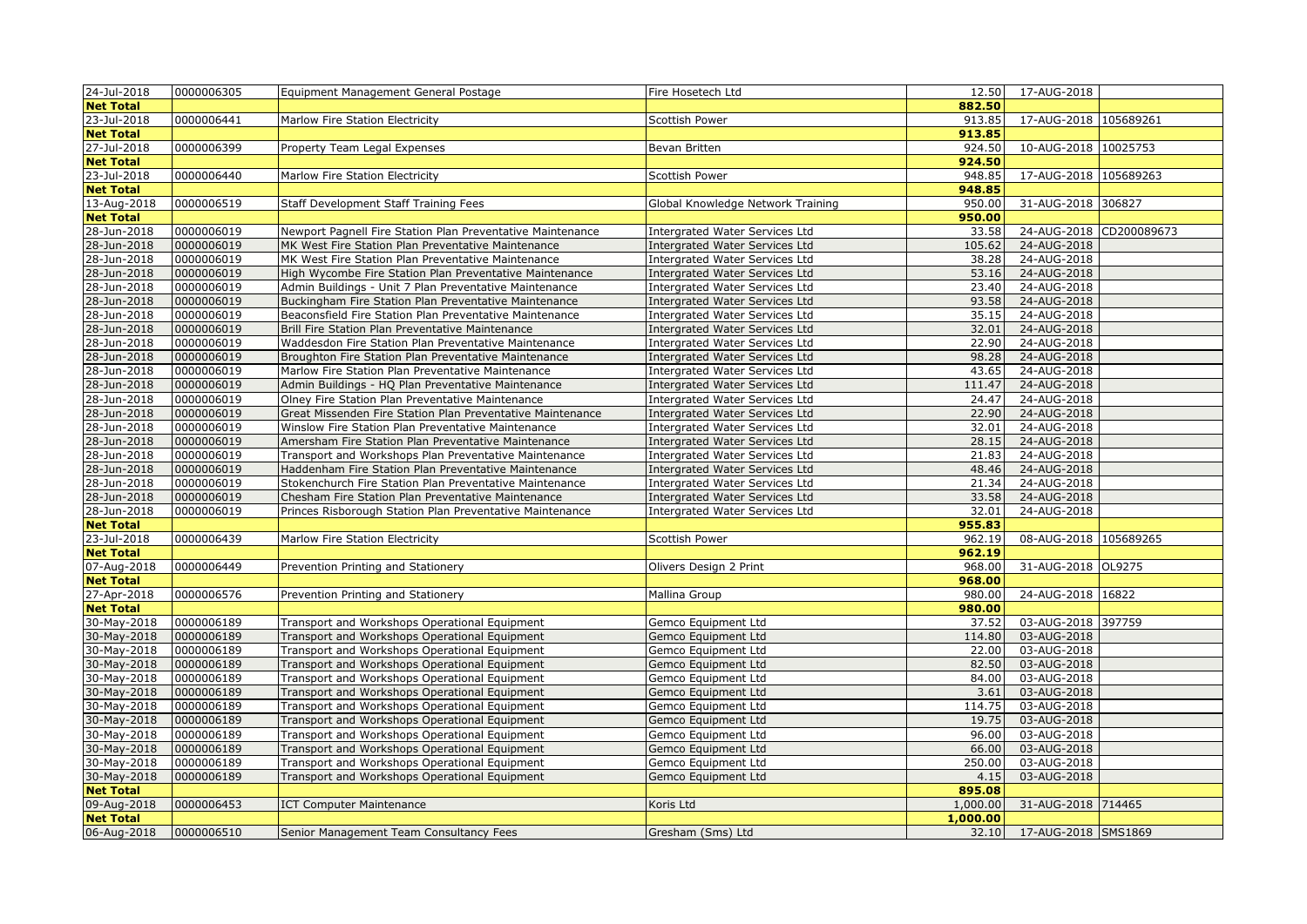| 24-Jul-2018                | 0000006305               | Equipment Management General Postage                       | Fire Hosetech Ltd                     | 12.50          | 17-AUG-2018                |  |
|----------------------------|--------------------------|------------------------------------------------------------|---------------------------------------|----------------|----------------------------|--|
| <b>Net Total</b>           |                          |                                                            |                                       | 882.50         |                            |  |
| 23-Jul-2018                | 0000006441               | Marlow Fire Station Electricity                            | Scottish Power                        | 913.85         | 17-AUG-2018 105689261      |  |
| <b>Net Total</b>           |                          |                                                            |                                       | 913.85         |                            |  |
| 27-Jul-2018                | 0000006399               | Property Team Legal Expenses                               | Bevan Britten                         | 924.50         | 10-AUG-2018 10025753       |  |
| <b>Net Total</b>           |                          |                                                            |                                       | 924.50         |                            |  |
| 23-Jul-2018                | 0000006440               | Marlow Fire Station Electricity                            | <b>Scottish Power</b>                 | 948.85         | 17-AUG-2018 105689263      |  |
| <b>Net Total</b>           |                          |                                                            |                                       | 948.85         |                            |  |
| 13-Aug-2018                | 0000006519               | Staff Development Staff Training Fees                      | Global Knowledge Network Training     | 950.00         | 31-AUG-2018 306827         |  |
| <b>Net Total</b>           |                          |                                                            |                                       | 950.00         |                            |  |
| 28-Jun-2018                | 0000006019               | Newport Pagnell Fire Station Plan Preventative Maintenance | Intergrated Water Services Ltd        | 33.58          | 24-AUG-2018 CD200089673    |  |
| 28-Jun-2018                | 0000006019               | MK West Fire Station Plan Preventative Maintenance         | Intergrated Water Services Ltd        | 105.62         | 24-AUG-2018                |  |
| 28-Jun-2018                | 0000006019               | MK West Fire Station Plan Preventative Maintenance         | Intergrated Water Services Ltd        | 38.28          | 24-AUG-2018                |  |
| 28-Jun-2018                | 0000006019               | High Wycombe Fire Station Plan Preventative Maintenance    | Intergrated Water Services Ltd        | 53.16          | 24-AUG-2018                |  |
| 28-Jun-2018                | 0000006019               | Admin Buildings - Unit 7 Plan Preventative Maintenance     | Intergrated Water Services Ltd        | 23.40          | 24-AUG-2018                |  |
| 28-Jun-2018                | 0000006019               | Buckingham Fire Station Plan Preventative Maintenance      | <b>Intergrated Water Services Ltd</b> | 93.58          | 24-AUG-2018                |  |
| 28-Jun-2018                | 0000006019               | Beaconsfield Fire Station Plan Preventative Maintenance    | <b>Intergrated Water Services Ltd</b> | 35.15          | 24-AUG-2018                |  |
| 28-Jun-2018                | 0000006019               | Brill Fire Station Plan Preventative Maintenance           | <b>Intergrated Water Services Ltd</b> | 32.01          | 24-AUG-2018                |  |
| 28-Jun-2018                | 0000006019               | Waddesdon Fire Station Plan Preventative Maintenance       | <b>Intergrated Water Services Ltd</b> | 22.90          | 24-AUG-2018                |  |
| 28-Jun-2018                | 0000006019               | Broughton Fire Station Plan Preventative Maintenance       | <b>Intergrated Water Services Ltd</b> | 98.28          | 24-AUG-2018                |  |
| 28-Jun-2018                | 0000006019               | Marlow Fire Station Plan Preventative Maintenance          | <b>Intergrated Water Services Ltd</b> | 43.65          | 24-AUG-2018                |  |
| 28-Jun-2018                | 0000006019               | Admin Buildings - HQ Plan Preventative Maintenance         | Intergrated Water Services Ltd        | 111.47         | 24-AUG-2018                |  |
| 28-Jun-2018                | 0000006019               | Olney Fire Station Plan Preventative Maintenance           | <b>Intergrated Water Services Ltd</b> | 24.47          | 24-AUG-2018                |  |
| 28-Jun-2018                | 0000006019               | Great Missenden Fire Station Plan Preventative Maintenance | <b>Intergrated Water Services Ltd</b> | 22.90          | 24-AUG-2018                |  |
| 28-Jun-2018                | 0000006019               | Winslow Fire Station Plan Preventative Maintenance         | Intergrated Water Services Ltd        | 32.01          | 24-AUG-2018                |  |
| 28-Jun-2018                | 0000006019               | Amersham Fire Station Plan Preventative Maintenance        | <b>Intergrated Water Services Ltd</b> | 28.15          | 24-AUG-2018                |  |
| 28-Jun-2018                | 0000006019               | Transport and Workshops Plan Preventative Maintenance      | Intergrated Water Services Ltd        | 21.83          | 24-AUG-2018                |  |
| 28-Jun-2018                | 0000006019               | Haddenham Fire Station Plan Preventative Maintenance       | <b>Intergrated Water Services Ltd</b> | 48.46          | 24-AUG-2018                |  |
| 28-Jun-2018                | 0000006019               | Stokenchurch Fire Station Plan Preventative Maintenance    | <b>Intergrated Water Services Ltd</b> | 21.34          | 24-AUG-2018                |  |
| 28-Jun-2018                | 0000006019               | Chesham Fire Station Plan Preventative Maintenance         | <b>Intergrated Water Services Ltd</b> | 33.58          | 24-AUG-2018                |  |
| 28-Jun-2018                | 0000006019               | Princes Risborough Station Plan Preventative Maintenance   | <b>Intergrated Water Services Ltd</b> | 32.01          | 24-AUG-2018                |  |
| <b>Net Total</b>           |                          |                                                            |                                       | 955.83         |                            |  |
| 23-Jul-2018                | 0000006439               | Marlow Fire Station Electricity                            | Scottish Power                        | 962.19         | 08-AUG-2018 105689265      |  |
| <b>Net Total</b>           |                          |                                                            |                                       | 962.19         |                            |  |
| 07-Aug-2018                | 0000006449               | Prevention Printing and Stationery                         | Olivers Design 2 Print                | 968.00         | 31-AUG-2018 OL9275         |  |
| <b>Net Total</b>           |                          |                                                            |                                       | 968.00         |                            |  |
| 27-Apr-2018                | 0000006576               | Prevention Printing and Stationery                         | Mallina Group                         | 980.00         | 24-AUG-2018 16822          |  |
| <b>Net Total</b>           |                          |                                                            |                                       | 980.00         |                            |  |
| 30-May-2018                | 0000006189               | Transport and Workshops Operational Equipment              | Gemco Equipment Ltd                   | 37.52          | 03-AUG-2018 397759         |  |
| 30-May-2018                | 0000006189               | Transport and Workshops Operational Equipment              | Gemco Equipment Ltd                   | 114.80         | 03-AUG-2018                |  |
| 30-May-2018                | 0000006189               | Transport and Workshops Operational Equipment              | Gemco Equipment Ltd                   | 22.00          | 03-AUG-2018                |  |
| 30-May-2018                | 0000006189               | Transport and Workshops Operational Equipment              | Gemco Equipment Ltd                   | 82.50          | 03-AUG-2018                |  |
| 30-May-2018                | 0000006189               | Transport and Workshops Operational Equipment              | Gemco Equipment Ltd                   | 84.00          | 03-AUG-2018                |  |
| 30-May-2018                | 0000006189               | Transport and Workshops Operational Equipment              | Gemco Equipment Ltd                   | 3.61           | 03-AUG-2018                |  |
| 30-May-2018                | 0000006189               | Transport and Workshops Operational Equipment              | Gemco Equipment Ltd                   | 114.75         | 03-AUG-2018                |  |
| 30-May-2018                | 0000006189               | Transport and Workshops Operational Equipment              | Gemco Equipment Ltd                   | 19.75          | 03-AUG-2018                |  |
| 30-May-2018                | 0000006189<br>0000006189 | Transport and Workshops Operational Equipment              | Gemco Equipment Ltd                   | 96.00          | 03-AUG-2018                |  |
| 30-May-2018                |                          | Transport and Workshops Operational Equipment              | Gemco Equipment Ltd                   | 66.00          | 03-AUG-2018                |  |
| 30-May-2018<br>30-May-2018 | 0000006189<br>0000006189 | Transport and Workshops Operational Equipment              | Gemco Equipment Ltd                   | 250.00<br>4.15 | 03-AUG-2018<br>03-AUG-2018 |  |
| <b>Net Total</b>           |                          | Transport and Workshops Operational Equipment              | Gemco Equipment Ltd                   | 895.08         |                            |  |
| 09-Aug-2018                | 0000006453               | <b>ICT Computer Maintenance</b>                            | Koris Ltd                             | 1,000.00       | 31-AUG-2018 714465         |  |
| <b>Net Total</b>           |                          |                                                            |                                       | 1,000.00       |                            |  |
| 06-Aug-2018                | 0000006510               | Senior Management Team Consultancy Fees                    | Gresham (Sms) Ltd                     | 32.10          | 17-AUG-2018 SMS1869        |  |
|                            |                          |                                                            |                                       |                |                            |  |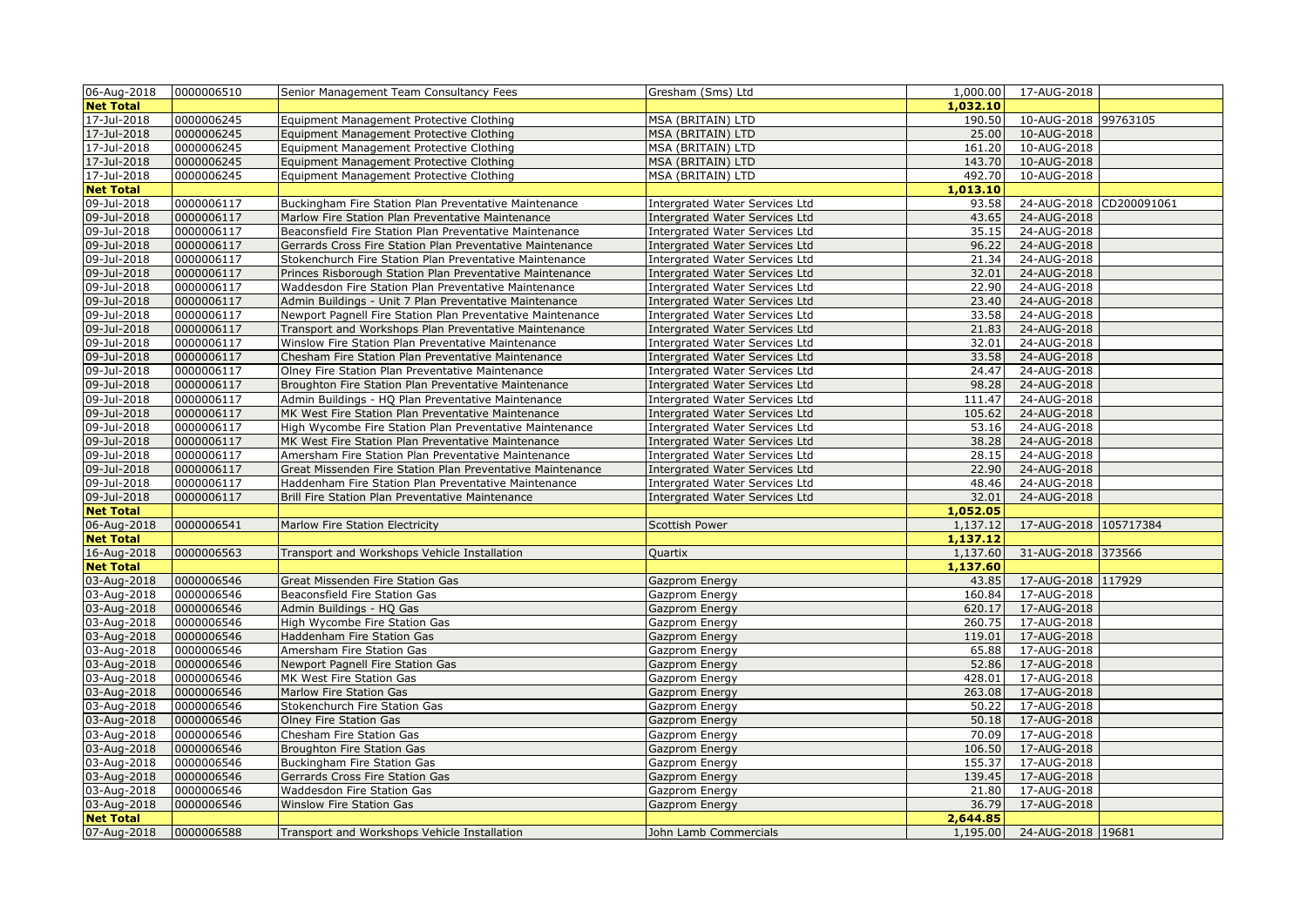|                  |            | Senior Management Team Consultancy Fees                    | Gresham (Sms) Ltd                     |          | 1,000.00  17-AUG-2018      |                         |
|------------------|------------|------------------------------------------------------------|---------------------------------------|----------|----------------------------|-------------------------|
| <b>Net Total</b> |            |                                                            |                                       | 1,032.10 |                            |                         |
| 17-Jul-2018      | 0000006245 | Equipment Management Protective Clothing                   | MSA (BRITAIN) LTD                     | 190.50   | 10-AUG-2018 99763105       |                         |
| $17 -$ Jul-2018  | 0000006245 | Equipment Management Protective Clothing                   | MSA (BRITAIN) LTD                     | 25.00    | 10-AUG-2018                |                         |
| 17-Jul-2018      | 0000006245 | Equipment Management Protective Clothing                   | MSA (BRITAIN) LTD                     | 161.20   | 10-AUG-2018                |                         |
| 17-Jul-2018      | 0000006245 | Equipment Management Protective Clothing                   | MSA (BRITAIN) LTD                     | 143.70   | 10-AUG-2018                |                         |
| 17-Jul-2018      | 0000006245 | Equipment Management Protective Clothing                   | MSA (BRITAIN) LTD                     | 492.70   | 10-AUG-2018                |                         |
| <b>Net Total</b> |            |                                                            |                                       | 1,013.10 |                            |                         |
| 09-Jul-2018      | 0000006117 | Buckingham Fire Station Plan Preventative Maintenance      | <b>Intergrated Water Services Ltd</b> | 93.58    |                            | 24-AUG-2018 CD200091061 |
| 09-Jul-2018      | 0000006117 | Marlow Fire Station Plan Preventative Maintenance          | Intergrated Water Services Ltd        | 43.65    | 24-AUG-2018                |                         |
| 09-Jul-2018      | 0000006117 | Beaconsfield Fire Station Plan Preventative Maintenance    | <b>Intergrated Water Services Ltd</b> | 35.15    | 24-AUG-2018                |                         |
| 09-Jul-2018      | 0000006117 | Gerrards Cross Fire Station Plan Preventative Maintenance  | <b>Intergrated Water Services Ltd</b> | 96.22    | 24-AUG-2018                |                         |
| 09-Jul-2018      | 0000006117 | Stokenchurch Fire Station Plan Preventative Maintenance    | <b>Intergrated Water Services Ltd</b> | 21.34    | 24-AUG-2018                |                         |
| 09-Jul-2018      | 0000006117 | Princes Risborough Station Plan Preventative Maintenance   | <b>Intergrated Water Services Ltd</b> | 32.01    | 24-AUG-2018                |                         |
| 09-Jul-2018      | 0000006117 | Waddesdon Fire Station Plan Preventative Maintenance       | Intergrated Water Services Ltd        | 22.90    | 24-AUG-2018                |                         |
| 09-Jul-2018      | 0000006117 | Admin Buildings - Unit 7 Plan Preventative Maintenance     | <b>Intergrated Water Services Ltd</b> | 23.40    | 24-AUG-2018                |                         |
| 09-Jul-2018      | 0000006117 | Newport Pagnell Fire Station Plan Preventative Maintenance | <b>Intergrated Water Services Ltd</b> | 33.58    | 24-AUG-2018                |                         |
| 09-Jul-2018      | 0000006117 | Transport and Workshops Plan Preventative Maintenance      | <b>Intergrated Water Services Ltd</b> | 21.83    | 24-AUG-2018                |                         |
| 09-Jul-2018      | 0000006117 | Winslow Fire Station Plan Preventative Maintenance         | Intergrated Water Services Ltd        | 32.01    | 24-AUG-2018                |                         |
| 09-Jul-2018      | 0000006117 | Chesham Fire Station Plan Preventative Maintenance         | <b>Intergrated Water Services Ltd</b> | 33.58    | 24-AUG-2018                |                         |
| 09-Jul-2018      | 0000006117 | Olney Fire Station Plan Preventative Maintenance           | Intergrated Water Services Ltd        | 24.47    | 24-AUG-2018                |                         |
| 09-Jul-2018      | 0000006117 | Broughton Fire Station Plan Preventative Maintenance       | <b>Intergrated Water Services Ltd</b> | 98.28    | 24-AUG-2018                |                         |
| 09-Jul-2018      | 0000006117 | Admin Buildings - HQ Plan Preventative Maintenance         | <b>Intergrated Water Services Ltd</b> | 111.47   | 24-AUG-2018                |                         |
| 09-Jul-2018      | 0000006117 | MK West Fire Station Plan Preventative Maintenance         | <b>Intergrated Water Services Ltd</b> | 105.62   | 24-AUG-2018                |                         |
| 09-Jul-2018      | 0000006117 | High Wycombe Fire Station Plan Preventative Maintenance    | <b>Intergrated Water Services Ltd</b> | 53.16    | 24-AUG-2018                |                         |
| 09-Jul-2018      | 0000006117 | MK West Fire Station Plan Preventative Maintenance         | Intergrated Water Services Ltd        | 38.28    | 24-AUG-2018                |                         |
| 09-Jul-2018      | 0000006117 | Amersham Fire Station Plan Preventative Maintenance        | Intergrated Water Services Ltd        | 28.15    | 24-AUG-2018                |                         |
| 09-Jul-2018      | 0000006117 | Great Missenden Fire Station Plan Preventative Maintenance | <b>Intergrated Water Services Ltd</b> | 22.90    | 24-AUG-2018                |                         |
| 09-Jul-2018      | 0000006117 | Haddenham Fire Station Plan Preventative Maintenance       | Intergrated Water Services Ltd        | 48.46    | 24-AUG-2018                |                         |
| 09-Jul-2018      | 0000006117 | Brill Fire Station Plan Preventative Maintenance           | Intergrated Water Services Ltd        | 32.01    | 24-AUG-2018                |                         |
| <b>Net Total</b> |            |                                                            |                                       | 1,052.05 |                            |                         |
| 06-Aug-2018      | 0000006541 | Marlow Fire Station Electricity                            | Scottish Power                        | 1,137.12 | 17-AUG-2018 105717384      |                         |
| <b>Net Total</b> |            |                                                            |                                       | 1,137.12 |                            |                         |
| 16-Aug-2018      | 0000006563 | Transport and Workshops Vehicle Installation               | Quartix                               | 1,137.60 | 31-AUG-2018 373566         |                         |
| <b>Net Total</b> |            |                                                            |                                       | 1,137.60 |                            |                         |
| 03-Aug-2018      | 0000006546 | Great Missenden Fire Station Gas                           | Gazprom Energy                        | 43.85    | 17-AUG-2018 117929         |                         |
| 03-Aug-2018      | 0000006546 | Beaconsfield Fire Station Gas                              | Gazprom Energy                        | 160.84   | 17-AUG-2018                |                         |
| 03-Aug-2018      | 0000006546 | Admin Buildings - HQ Gas                                   | Gazprom Energy                        | 620.17   | 17-AUG-2018                |                         |
| 03-Aug-2018      | 0000006546 | High Wycombe Fire Station Gas                              | Gazprom Energy                        | 260.75   | 17-AUG-2018                |                         |
| 03-Aug-2018      | 0000006546 | Haddenham Fire Station Gas                                 | Gazprom Energy                        | 119.01   | 17-AUG-2018                |                         |
| 03-Aug-2018      | 0000006546 | Amersham Fire Station Gas                                  | Gazprom Energy                        | 65.88    | 17-AUG-2018                |                         |
| 03-Aug-2018      | 0000006546 | Newport Pagnell Fire Station Gas                           | Gazprom Energy                        | 52.86    | 17-AUG-2018                |                         |
| 03-Aug-2018      | 0000006546 | MK West Fire Station Gas                                   | Gazprom Energy                        | 428.01   | 17-AUG-2018                |                         |
| 03-Aug-2018      | 0000006546 | Marlow Fire Station Gas                                    | Gazprom Energy                        | 263.08   | 17-AUG-2018                |                         |
| 03-Aug-2018      | 0000006546 | Stokenchurch Fire Station Gas                              | Gazprom Energy                        | 50.22    | 17-AUG-2018                |                         |
| 03-Aug-2018      | 0000006546 | Olney Fire Station Gas                                     | Gazprom Energy                        | 50.18    | 17-AUG-2018                |                         |
| 03-Aug-2018      | 0000006546 | Chesham Fire Station Gas                                   | Gazprom Energy                        | 70.09    | 17-AUG-2018                |                         |
| 03-Aug-2018      | 0000006546 | Broughton Fire Station Gas                                 | Gazprom Energy                        | 106.50   | 17-AUG-2018                |                         |
| 03-Aug-2018      | 0000006546 | Buckingham Fire Station Gas                                | Gazprom Energy                        | 155.37   | 17-AUG-2018                |                         |
| 03-Aug-2018      | 0000006546 | Gerrards Cross Fire Station Gas                            | Gazprom Energy                        | 139.45   | 17-AUG-2018                |                         |
| 03-Aug-2018      | 0000006546 | Waddesdon Fire Station Gas                                 | Gazprom Energy                        | 21.80    | 17-AUG-2018                |                         |
| 03-Aug-2018      | 0000006546 | Winslow Fire Station Gas                                   | Gazprom Energy                        | 36.79    | 17-AUG-2018                |                         |
| <b>Net Total</b> |            |                                                            |                                       | 2,644.85 |                            |                         |
| 07-Aug-2018      | 0000006588 | Transport and Workshops Vehicle Installation               | John Lamb Commercials                 |          | 1,195.00 24-AUG-2018 19681 |                         |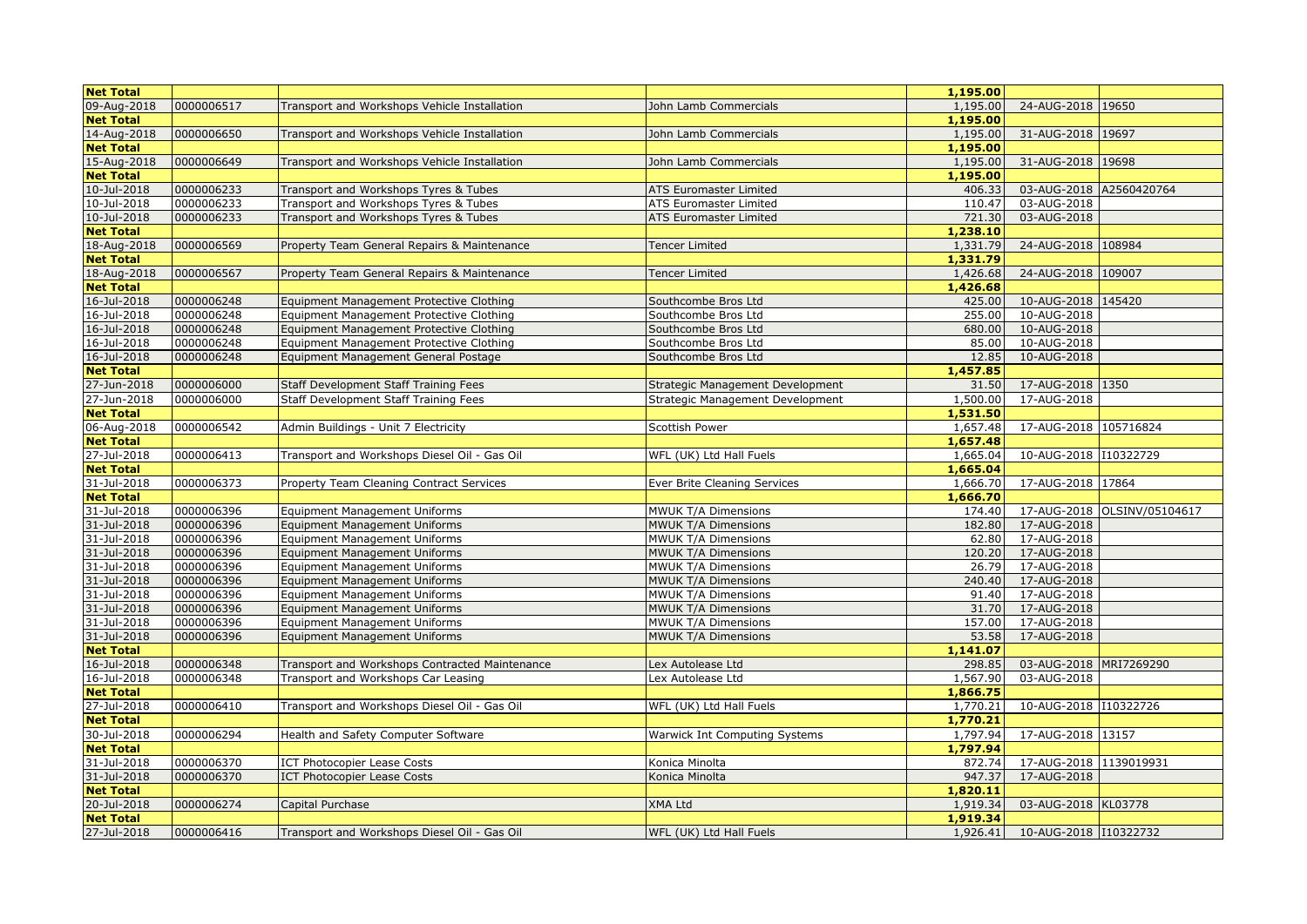| <b>Net Total</b> |            |                                                |                                      | 1,195.00 |                         |                             |
|------------------|------------|------------------------------------------------|--------------------------------------|----------|-------------------------|-----------------------------|
| 09-Aug-2018      | 0000006517 | Transport and Workshops Vehicle Installation   | John Lamb Commercials                | 1,195.00 | 24-AUG-2018 19650       |                             |
| <b>Net Total</b> |            |                                                |                                      | 1,195.00 |                         |                             |
| 14-Aug-2018      | 0000006650 | Transport and Workshops Vehicle Installation   | John Lamb Commercials                | 1,195.00 | 31-AUG-2018 19697       |                             |
| <b>Net Total</b> |            |                                                |                                      | 1,195.00 |                         |                             |
| 15-Aug-2018      | 0000006649 | Transport and Workshops Vehicle Installation   | John Lamb Commercials                | 1,195.00 | 31-AUG-2018 19698       |                             |
| <b>Net Total</b> |            |                                                |                                      | 1,195.00 |                         |                             |
| 10-Jul-2018      | 0000006233 | Transport and Workshops Tyres & Tubes          | ATS Euromaster Limited               | 406.33   | 03-AUG-2018 A2560420764 |                             |
| 10-Jul-2018      | 0000006233 | Transport and Workshops Tyres & Tubes          | ATS Euromaster Limited               | 110.47   | 03-AUG-2018             |                             |
| 10-Jul-2018      | 0000006233 | Transport and Workshops Tyres & Tubes          | ATS Euromaster Limited               | 721.30   | 03-AUG-2018             |                             |
| <b>Net Total</b> |            |                                                |                                      | 1,238.10 |                         |                             |
| 18-Aug-2018      | 0000006569 | Property Team General Repairs & Maintenance    | Tencer Limited                       | 1,331.79 | 24-AUG-2018 108984      |                             |
| <b>Net Total</b> |            |                                                |                                      | 1,331.79 |                         |                             |
| 18-Aug-2018      | 0000006567 | Property Team General Repairs & Maintenance    | <b>Tencer Limited</b>                | 1,426.68 | 24-AUG-2018 109007      |                             |
| <b>Net Total</b> |            |                                                |                                      | 1,426.68 |                         |                             |
| 16-Jul-2018      | 0000006248 | Equipment Management Protective Clothing       | Southcombe Bros Ltd                  | 425.00   | 10-AUG-2018 145420      |                             |
| 16-Jul-2018      | 0000006248 | Equipment Management Protective Clothing       | Southcombe Bros Ltd                  | 255.00   | 10-AUG-2018             |                             |
| 16-Jul-2018      | 0000006248 | Equipment Management Protective Clothing       | Southcombe Bros Ltd                  | 680.00   | 10-AUG-2018             |                             |
| 16-Jul-2018      | 0000006248 | Equipment Management Protective Clothing       | Southcombe Bros Ltd                  | 85.00    | 10-AUG-2018             |                             |
| 16-Jul-2018      | 0000006248 | Equipment Management General Postage           | Southcombe Bros Ltd                  | 12.85    | 10-AUG-2018             |                             |
| <b>Net Total</b> |            |                                                |                                      | 1,457.85 |                         |                             |
| 27-Jun-2018      | 0000006000 | Staff Development Staff Training Fees          | Strategic Management Development     | 31.50    | 17-AUG-2018 1350        |                             |
| 27-Jun-2018      | 0000006000 | Staff Development Staff Training Fees          | Strategic Management Development     | 1,500.00 | 17-AUG-2018             |                             |
| <b>Net Total</b> |            |                                                |                                      | 1,531.50 |                         |                             |
| 06-Aug-2018      | 0000006542 | Admin Buildings - Unit 7 Electricity           | Scottish Power                       | 1,657.48 | 17-AUG-2018 105716824   |                             |
| <b>Net Total</b> |            |                                                |                                      | 1,657.48 |                         |                             |
| 27-Jul-2018      | 0000006413 | Transport and Workshops Diesel Oil - Gas Oil   | WFL (UK) Ltd Hall Fuels              | 1,665.04 | 10-AUG-2018 110322729   |                             |
| <b>Net Total</b> |            |                                                |                                      | 1,665.04 |                         |                             |
| 31-Jul-2018      | 0000006373 | Property Team Cleaning Contract Services       | Ever Brite Cleaning Services         | 1,666.70 | 17-AUG-2018 17864       |                             |
| <b>Net Total</b> |            |                                                |                                      | 1,666.70 |                         |                             |
| 31-Jul-2018      | 0000006396 | <b>Equipment Management Uniforms</b>           | MWUK T/A Dimensions                  | 174.40   |                         | 17-AUG-2018 OLSINV/05104617 |
| 31-Jul-2018      | 0000006396 | <b>Equipment Management Uniforms</b>           | MWUK T/A Dimensions                  | 182.80   | 17-AUG-2018             |                             |
| 31-Jul-2018      | 0000006396 | <b>Equipment Management Uniforms</b>           | MWUK T/A Dimensions                  | 62.80    | 17-AUG-2018             |                             |
| 31-Jul-2018      | 0000006396 | <b>Equipment Management Uniforms</b>           | MWUK T/A Dimensions                  | 120.20   | 17-AUG-2018             |                             |
| 31-Jul-2018      | 0000006396 | <b>Equipment Management Uniforms</b>           | MWUK T/A Dimensions                  | 26.79    | 17-AUG-2018             |                             |
| 31-Jul-2018      | 0000006396 | <b>Equipment Management Uniforms</b>           | MWUK T/A Dimensions                  | 240.40   | 17-AUG-2018             |                             |
| 31-Jul-2018      | 0000006396 | <b>Equipment Management Uniforms</b>           | MWUK T/A Dimensions                  | 91.40    | 17-AUG-2018             |                             |
| 31-Jul-2018      | 0000006396 | <b>Equipment Management Uniforms</b>           | MWUK T/A Dimensions                  | 31.70    | 17-AUG-2018             |                             |
| 31-Jul-2018      | 0000006396 | Equipment Management Uniforms                  | MWUK T/A Dimensions                  | 157.00   | 17-AUG-2018             |                             |
| 31-Jul-2018      | 0000006396 | <b>Equipment Management Uniforms</b>           | MWUK T/A Dimensions                  | 53.58    | 17-AUG-2018             |                             |
| <b>Net Total</b> |            |                                                |                                      | 1,141.07 |                         |                             |
| 16-Jul-2018      | 0000006348 | Transport and Workshops Contracted Maintenance | Lex Autolease Ltd                    | 298.85   | 03-AUG-2018 MRI7269290  |                             |
| 16-Jul-2018      | 0000006348 | Transport and Workshops Car Leasing            | Lex Autolease Ltd                    | 1,567.90 | 03-AUG-2018             |                             |
| <b>Net Total</b> |            |                                                |                                      | 1,866.75 |                         |                             |
| 27-Jul-2018      | 0000006410 | Fransport and Workshops Diesel Oil - Gas Oil   | WFL (UK) Ltd Hall Fuels              | 1,770.21 | 10-AUG-2018 110322726   |                             |
| <b>Net Total</b> |            |                                                |                                      | 1,770.21 |                         |                             |
| 30-Jul-2018      | 0000006294 | Health and Safety Computer Software            | <b>Warwick Int Computing Systems</b> | 1,797.94 | 17-AUG-2018 13157       |                             |
| <b>Net Total</b> |            |                                                |                                      | 1,797.94 |                         |                             |
| 31-Jul-2018      | 0000006370 | ICT Photocopier Lease Costs                    | Konica Minolta                       | 872.74   | 17-AUG-2018 1139019931  |                             |
| 31-Jul-2018      | 0000006370 | <b>ICT Photocopier Lease Costs</b>             | Konica Minolta                       | 947.37   | 17-AUG-2018             |                             |
| <b>Net Total</b> |            |                                                |                                      | 1,820.11 |                         |                             |
| 20-Jul-2018      | 0000006274 | Capital Purchase                               | XMA Ltd                              | 1,919.34 | 03-AUG-2018 KL03778     |                             |
| <b>Net Total</b> |            |                                                |                                      | 1,919.34 |                         |                             |
| 27-Jul-2018      | 0000006416 | Transport and Workshops Diesel Oil - Gas Oil   | WFL (UK) Ltd Hall Fuels              | 1,926.41 | 10-AUG-2018 110322732   |                             |
|                  |            |                                                |                                      |          |                         |                             |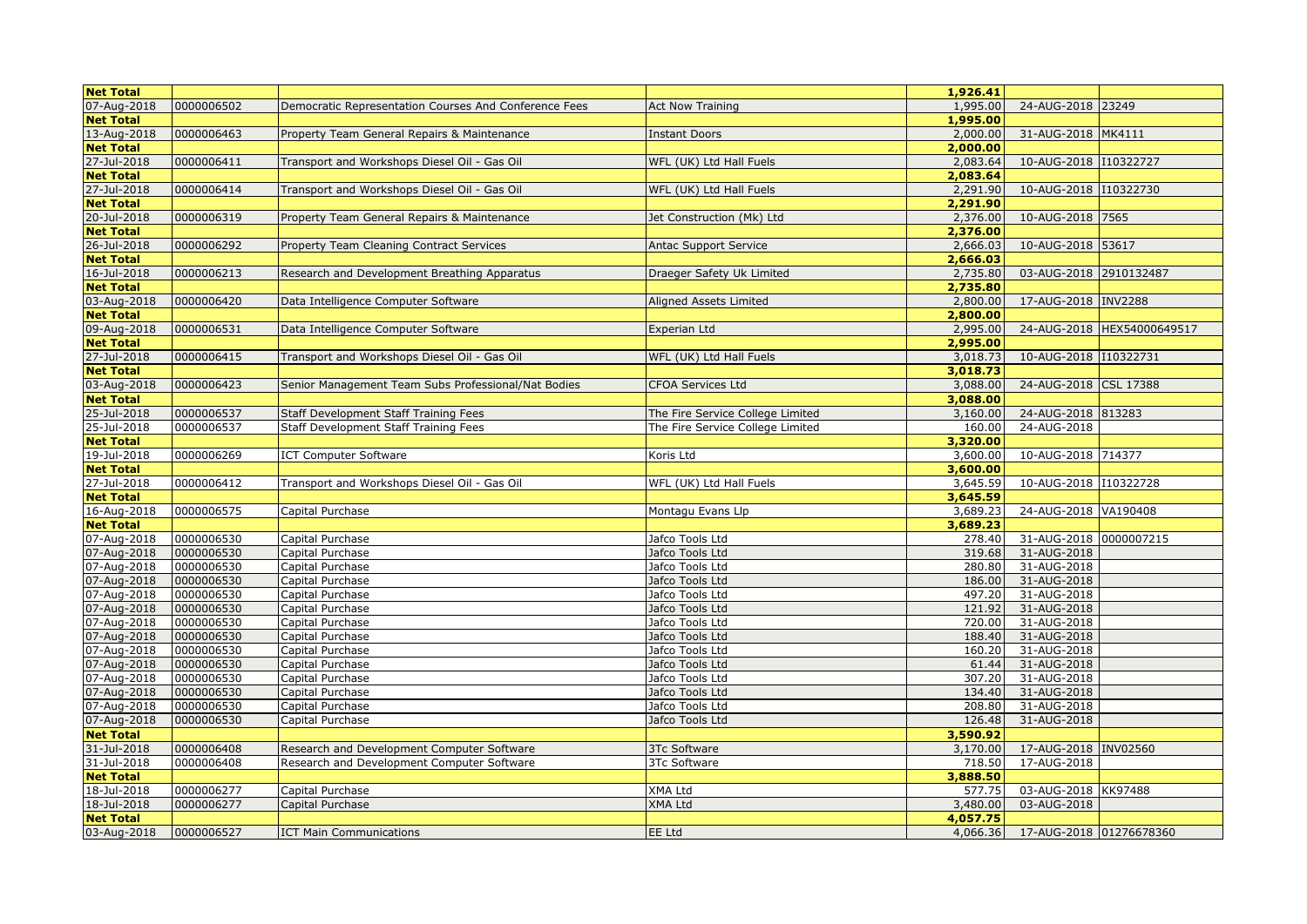| <b>Net Total</b> |            |                                                       |                                  | 1,926.41 |                         |                            |
|------------------|------------|-------------------------------------------------------|----------------------------------|----------|-------------------------|----------------------------|
| 07-Aug-2018      | 0000006502 | Democratic Representation Courses And Conference Fees | <b>Act Now Training</b>          | 1,995.00 | 24-AUG-2018 23249       |                            |
| <b>Net Total</b> |            |                                                       |                                  | 1,995.00 |                         |                            |
| 13-Aug-2018      | 0000006463 | Property Team General Repairs & Maintenance           | <b>Instant Doors</b>             | 2,000.00 | 31-AUG-2018 MK4111      |                            |
| <b>Net Total</b> |            |                                                       |                                  | 2,000.00 |                         |                            |
| 27-Jul-2018      | 0000006411 | Transport and Workshops Diesel Oil - Gas Oil          | WFL (UK) Ltd Hall Fuels          | 2,083.64 | 10-AUG-2018 110322727   |                            |
| <b>Net Total</b> |            |                                                       |                                  | 2,083.64 |                         |                            |
| 27-Jul-2018      | 0000006414 | Transport and Workshops Diesel Oil - Gas Oil          | WFL (UK) Ltd Hall Fuels          | 2,291.90 | 10-AUG-2018 110322730   |                            |
| <b>Net Total</b> |            |                                                       |                                  | 2,291.90 |                         |                            |
| 20-Jul-2018      | 0000006319 | Property Team General Repairs & Maintenance           | Jet Construction (Mk) Ltd        | 2,376.00 | 10-AUG-2018 7565        |                            |
| <b>Net Total</b> |            |                                                       |                                  | 2,376.00 |                         |                            |
| 26-Jul-2018      | 0000006292 | Property Team Cleaning Contract Services              | Antac Support Service            | 2,666.03 | 10-AUG-2018 53617       |                            |
| <b>Net Total</b> |            |                                                       |                                  | 2,666.03 |                         |                            |
| 16-Jul-2018      | 0000006213 | Research and Development Breathing Apparatus          | Draeger Safety Uk Limited        | 2,735.80 | 03-AUG-2018 2910132487  |                            |
| <b>Net Total</b> |            |                                                       |                                  | 2,735.80 |                         |                            |
| 03-Aug-2018      | 0000006420 | Data Intelligence Computer Software                   | Aligned Assets Limited           | 2,800.00 | 17-AUG-2018 INV2288     |                            |
| <b>Net Total</b> |            |                                                       |                                  | 2,800.00 |                         |                            |
| 09-Aug-2018      | 0000006531 | Data Intelligence Computer Software                   | Experian Ltd                     | 2,995.00 |                         | 24-AUG-2018 HEX54000649517 |
| <b>Net Total</b> |            |                                                       |                                  | 2,995.00 |                         |                            |
| 27-Jul-2018      | 0000006415 | Transport and Workshops Diesel Oil - Gas Oil          | WFL (UK) Ltd Hall Fuels          | 3,018.73 | 10-AUG-2018 110322731   |                            |
| <b>Net Total</b> |            |                                                       |                                  | 3,018.73 |                         |                            |
| 03-Aug-2018      | 0000006423 | Senior Management Team Subs Professional/Nat Bodies   | <b>CFOA Services Ltd</b>         | 3,088.00 | 24-AUG-2018 CSL 17388   |                            |
| <b>Net Total</b> |            |                                                       |                                  | 3,088.00 |                         |                            |
| 25-Jul-2018      | 0000006537 | Staff Development Staff Training Fees                 | The Fire Service College Limited | 3,160.00 | 24-AUG-2018 813283      |                            |
| 25-Jul-2018      | 0000006537 | Staff Development Staff Training Fees                 | The Fire Service College Limited | 160.00   | 24-AUG-2018             |                            |
| <b>Net Total</b> |            |                                                       |                                  | 3,320.00 |                         |                            |
| 19-Jul-2018      | 0000006269 | <b>ICT Computer Software</b>                          | Koris Ltd                        | 3,600.00 | 10-AUG-2018 714377      |                            |
| <b>Net Total</b> |            |                                                       |                                  | 3,600.00 |                         |                            |
| 27-Jul-2018      | 0000006412 | Transport and Workshops Diesel Oil - Gas Oil          | WFL (UK) Ltd Hall Fuels          | 3,645.59 | 10-AUG-2018 110322728   |                            |
| <b>Net Total</b> |            |                                                       |                                  | 3,645.59 |                         |                            |
| 16-Aug-2018      | 0000006575 | Capital Purchase                                      |                                  | 3,689.23 | 24-AUG-2018 VA190408    |                            |
| <b>Net Total</b> |            |                                                       | Montagu Evans Llp                | 3,689.23 |                         |                            |
| 07-Aug-2018      | 0000006530 | Capital Purchase                                      | Jafco Tools Ltd                  | 278.40   | 31-AUG-2018 0000007215  |                            |
| 07-Aug-2018      | 0000006530 | Capital Purchase                                      | Jafco Tools Ltd                  | 319.68   | 31-AUG-2018             |                            |
| 07-Aug-2018      | 0000006530 | Capital Purchase                                      | Jafco Tools Ltd                  | 280.80   | 31-AUG-2018             |                            |
| 07-Aug-2018      | 0000006530 | Capital Purchase                                      | Jafco Tools Ltd                  | 186.00   | 31-AUG-2018             |                            |
|                  |            |                                                       |                                  | 497.20   |                         |                            |
| 07-Aug-2018      | 0000006530 | Capital Purchase                                      | Jafco Tools Ltd                  |          | 31-AUG-2018             |                            |
| 07-Aug-2018      | 0000006530 | Capital Purchase                                      | Jafco Tools Ltd                  | 121.92   | 31-AUG-2018             |                            |
| 07-Aug-2018      | 0000006530 | Capital Purchase                                      | Jafco Tools Ltd                  | 720.00   | 31-AUG-2018             |                            |
| 07-Aug-2018      | 0000006530 | Capital Purchase                                      | Jafco Tools Ltd                  | 188.40   | 31-AUG-2018             |                            |
| 07-Aug-2018      | 0000006530 | Capital Purchase                                      | Jafco Tools Ltd                  | 160.20   | 31-AUG-2018             |                            |
| 07-Aug-2018      | 0000006530 | Capital Purchase                                      | Jafco Tools Ltd                  | 61.44    | 31-AUG-2018             |                            |
| 07-Aug-2018      | 0000006530 | Capital Purchase                                      | Jafco Tools Ltd                  | 307.20   | 31-AUG-2018             |                            |
| 07-Aug-2018      | 0000006530 | Capital Purchase                                      | Jafco Tools Ltd                  | 134.40   | 31-AUG-2018             |                            |
| 07-Aug-2018      | 0000006530 | Capital Purchase                                      | Jafco Tools Ltd                  | 208.80   | 31-AUG-2018             |                            |
| 07-Aug-2018      | 0000006530 | Capital Purchase                                      | Jafco Tools Ltd                  | 126.48   | 31-AUG-2018             |                            |
| <b>Net Total</b> |            |                                                       |                                  | 3,590.92 |                         |                            |
| 31-Jul-2018      | 0000006408 | Research and Development Computer Software            | <b>3Tc Software</b>              | 3,170.00 | 17-AUG-2018 INV02560    |                            |
| 31-Jul-2018      | 0000006408 | Research and Development Computer Software            | 3Tc Software                     | 718.50   | 17-AUG-2018             |                            |
| <b>Net Total</b> |            |                                                       |                                  | 3,888.50 |                         |                            |
| 18-Jul-2018      | 0000006277 | Capital Purchase                                      | <b>XMA Ltd</b>                   | 577.75   | 03-AUG-2018 KK97488     |                            |
| 18-Jul-2018      | 0000006277 | Capital Purchase                                      | <b>XMA Ltd</b>                   | 3,480.00 | 03-AUG-2018             |                            |
| <b>Net Total</b> |            |                                                       |                                  | 4,057.75 |                         |                            |
| 03-Aug-2018      | 0000006527 | <b>ICT Main Communications</b>                        | <b>EE Ltd</b>                    | 4,066.36 | 17-AUG-2018 01276678360 |                            |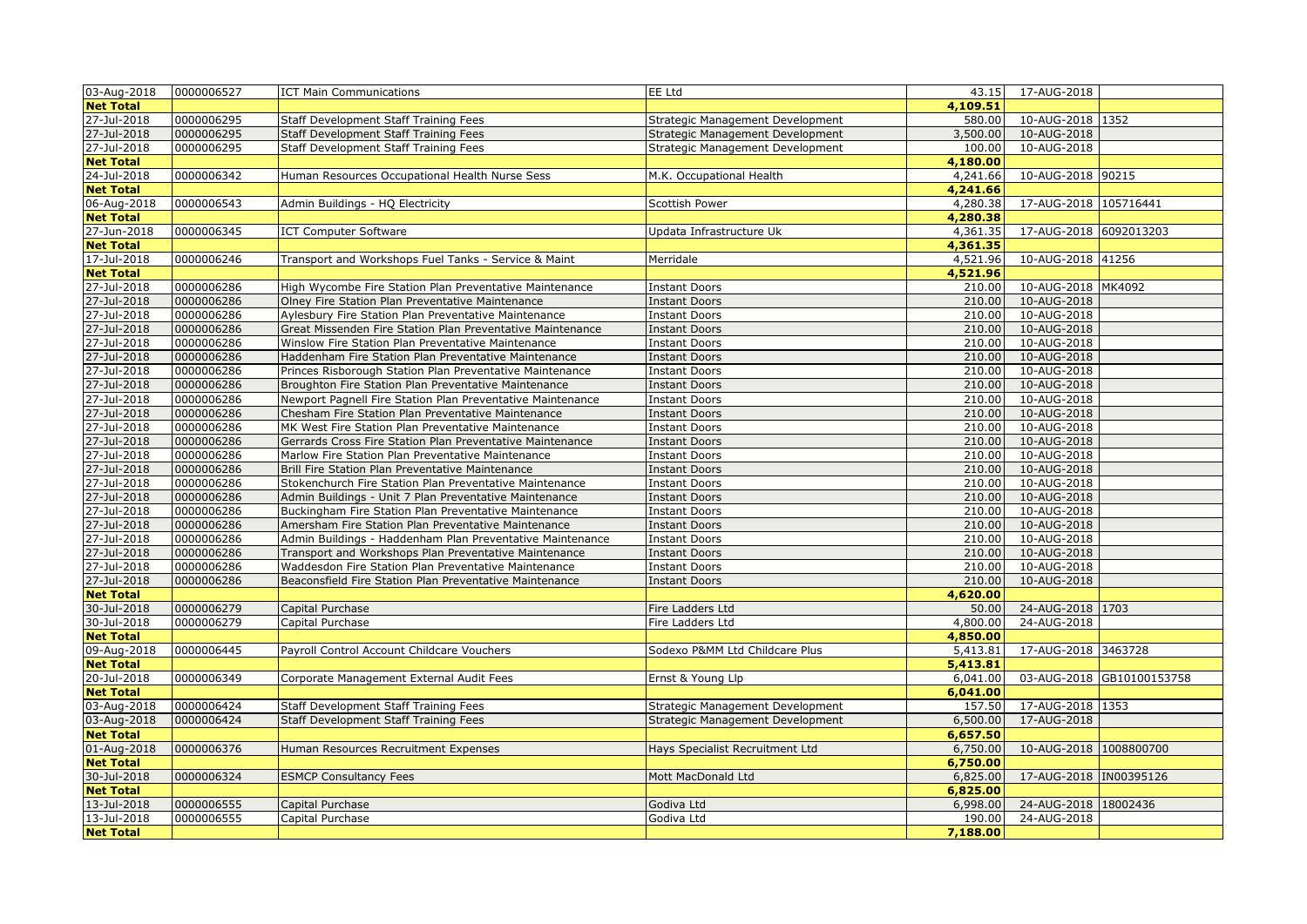| 03-Aug-2018                     | 0000006527 | <b>ICT Main Communications</b>                             | EE Ltd                           |                      | 43.15 17-AUG-2018       |                           |
|---------------------------------|------------|------------------------------------------------------------|----------------------------------|----------------------|-------------------------|---------------------------|
| <b>Net Total</b>                |            |                                                            |                                  | 4,109.51             |                         |                           |
| 27-Jul-2018                     | 0000006295 | Staff Development Staff Training Fees                      | Strategic Management Development | 580.00               | 10-AUG-2018 1352        |                           |
| 27-Jul-2018                     | 0000006295 | Staff Development Staff Training Fees                      | Strategic Management Development | 3,500.00             | 10-AUG-2018             |                           |
| 27-Jul-2018                     | 0000006295 | Staff Development Staff Training Fees                      | Strategic Management Development | 100.00               | 10-AUG-2018             |                           |
| <b>Net Total</b>                |            |                                                            |                                  | 4,180.00             |                         |                           |
| 24-Jul-2018                     | 0000006342 | Human Resources Occupational Health Nurse Sess             | M.K. Occupational Health         | 4,241.66             | 10-AUG-2018 90215       |                           |
| <b>Net Total</b>                |            |                                                            |                                  | 4,241.66             |                         |                           |
| 06-Aug-2018                     | 0000006543 | Admin Buildings - HQ Electricity                           | Scottish Power                   | 4,280.38             | 17-AUG-2018 105716441   |                           |
| <b>Net Total</b>                |            |                                                            |                                  | 4,280.38             |                         |                           |
| 27-Jun-2018                     | 0000006345 | <b>ICT Computer Software</b>                               | Updata Infrastructure Uk         | 4,361.35             | 17-AUG-2018 6092013203  |                           |
| <b>Net Total</b>                |            |                                                            |                                  | 4,361.35             |                         |                           |
| 17-Jul-2018                     | 0000006246 | Transport and Workshops Fuel Tanks - Service & Maint       | Merridale                        | 4,521.96             | 10-AUG-2018 41256       |                           |
| <b>Net Total</b>                |            |                                                            |                                  | 4,521.96             |                         |                           |
| 27-Jul-2018                     | 0000006286 | High Wycombe Fire Station Plan Preventative Maintenance    | <b>Instant Doors</b>             | 210.00               | 10-AUG-2018 MK4092      |                           |
| 27-Jul-2018                     | 0000006286 | Olney Fire Station Plan Preventative Maintenance           | <b>Instant Doors</b>             | 210.00               | 10-AUG-2018             |                           |
| 27-Jul-2018                     | 0000006286 | Aylesbury Fire Station Plan Preventative Maintenance       | <b>Instant Doors</b>             | 210.00               | 10-AUG-2018             |                           |
| 27-Jul-2018                     | 0000006286 | Great Missenden Fire Station Plan Preventative Maintenance | <b>Instant Doors</b>             | 210.00               | 10-AUG-2018             |                           |
| 27-Jul-2018                     | 0000006286 | Winslow Fire Station Plan Preventative Maintenance         | <b>Instant Doors</b>             | 210.00               | 10-AUG-2018             |                           |
| 27-Jul-2018                     | 0000006286 | Haddenham Fire Station Plan Preventative Maintenance       | <b>Instant Doors</b>             | 210.00               | 10-AUG-2018             |                           |
| 27-Jul-2018                     | 0000006286 | Princes Risborough Station Plan Preventative Maintenance   | <b>Instant Doors</b>             | 210.00               | 10-AUG-2018             |                           |
| 27-Jul-2018                     | 0000006286 | Broughton Fire Station Plan Preventative Maintenance       | <b>Instant Doors</b>             | 210.00               | 10-AUG-2018             |                           |
| 27-Jul-2018                     | 0000006286 | Newport Pagnell Fire Station Plan Preventative Maintenance | <b>Instant Doors</b>             | 210.00               | 10-AUG-2018             |                           |
| 27-Jul-2018                     | 0000006286 | Chesham Fire Station Plan Preventative Maintenance         | <b>Instant Doors</b>             | 210.00               | 10-AUG-2018             |                           |
| 27-Jul-2018                     | 0000006286 | MK West Fire Station Plan Preventative Maintenance         | <b>Instant Doors</b>             | 210.00               | 10-AUG-2018             |                           |
| 27-Jul-2018                     | 0000006286 | Gerrards Cross Fire Station Plan Preventative Maintenance  | <b>Instant Doors</b>             | 210.00               | 10-AUG-2018             |                           |
| 27-Jul-2018                     | 0000006286 | Marlow Fire Station Plan Preventative Maintenance          | <b>Instant Doors</b>             | 210.00               | 10-AUG-2018             |                           |
| 27-Jul-2018                     | 0000006286 | Brill Fire Station Plan Preventative Maintenance           | <b>Instant Doors</b>             | 210.00               | 10-AUG-2018             |                           |
| 27-Jul-2018                     | 0000006286 | Stokenchurch Fire Station Plan Preventative Maintenance    | <b>Instant Doors</b>             | 210.00               | 10-AUG-2018             |                           |
| 27-Jul-2018                     | 0000006286 | Admin Buildings - Unit 7 Plan Preventative Maintenance     | Instant Doors                    | 210.00               | 10-AUG-2018             |                           |
| 27-Jul-2018                     | 0000006286 | Buckingham Fire Station Plan Preventative Maintenance      | <b>Instant Doors</b>             | 210.00               | 10-AUG-2018             |                           |
| 27-Jul-2018                     | 0000006286 | Amersham Fire Station Plan Preventative Maintenance        | <b>Instant Doors</b>             | 210.00               | 10-AUG-2018             |                           |
| 27-Jul-2018                     | 0000006286 | Admin Buildings - Haddenham Plan Preventative Maintenance  | <b>Instant Doors</b>             | 210.00               | 10-AUG-2018             |                           |
| 27-Jul-2018                     | 0000006286 | Transport and Workshops Plan Preventative Maintenance      | <b>Instant Doors</b>             | 210.00               | 10-AUG-2018             |                           |
| 27-Jul-2018                     | 0000006286 | Waddesdon Fire Station Plan Preventative Maintenance       | <b>Instant Doors</b>             | 210.00               | 10-AUG-2018             |                           |
| 27-Jul-2018                     | 0000006286 | Beaconsfield Fire Station Plan Preventative Maintenance    | <b>Instant Doors</b>             | 210.00               | 10-AUG-2018             |                           |
| <b>Net Total</b>                |            |                                                            |                                  | 4,620.00             |                         |                           |
| 30-Jul-2018                     | 0000006279 | Capital Purchase                                           | Fire Ladders Ltd                 | 50.00                | 24-AUG-2018 1703        |                           |
| 30-Jul-2018                     | 0000006279 | Capital Purchase                                           | Fire Ladders Ltd                 | 4,800.00             | 24-AUG-2018             |                           |
| <b>Net Total</b>                |            |                                                            |                                  | 4,850.00             |                         |                           |
| 09-Aug-2018                     | 0000006445 | Payroll Control Account Childcare Vouchers                 | Sodexo P&MM Ltd Childcare Plus   | 5,413.81             | 17-AUG-2018 3463728     |                           |
| <b>Net Total</b>                | 0000006349 |                                                            |                                  | 5,413.81<br>6,041.00 |                         | 03-AUG-2018 GB10100153758 |
| 20-Jul-2018<br><b>Net Total</b> |            | Corporate Management External Audit Fees                   | Ernst & Young Llp                | 6,041.00             |                         |                           |
| 03-Aug-2018                     | 0000006424 | Staff Development Staff Training Fees                      | Strategic Management Development | 157.50               | 17-AUG-2018 1353        |                           |
| 03-Aug-2018                     | 0000006424 | <b>Staff Development Staff Training Fees</b>               | Strategic Management Development | 6,500.00             | 17-AUG-2018             |                           |
| <b>Net Total</b>                |            |                                                            |                                  | 6,657.50             |                         |                           |
| 01-Aug-2018                     | 0000006376 | Human Resources Recruitment Expenses                       | Hays Specialist Recruitment Ltd  | 6,750.00             | 10-AUG-2018 1008800700  |                           |
| <b>Net Total</b>                |            |                                                            |                                  | 6,750.00             |                         |                           |
| 30-Jul-2018                     | 0000006324 | <b>ESMCP Consultancy Fees</b>                              | Mott MacDonald Ltd               | 6,825.00             | 17-AUG-2018  IN00395126 |                           |
| <b>Net Total</b>                |            |                                                            |                                  | 6,825.00             |                         |                           |
| 13-Jul-2018                     | 0000006555 | Capital Purchase                                           | Godiva Ltd                       | 6,998.00             | 24-AUG-2018 18002436    |                           |
| 13-Jul-2018                     | 0000006555 | Capital Purchase                                           | Godiva Ltd                       | 190.00               | 24-AUG-2018             |                           |
| <b>Net Total</b>                |            |                                                            |                                  | 7,188.00             |                         |                           |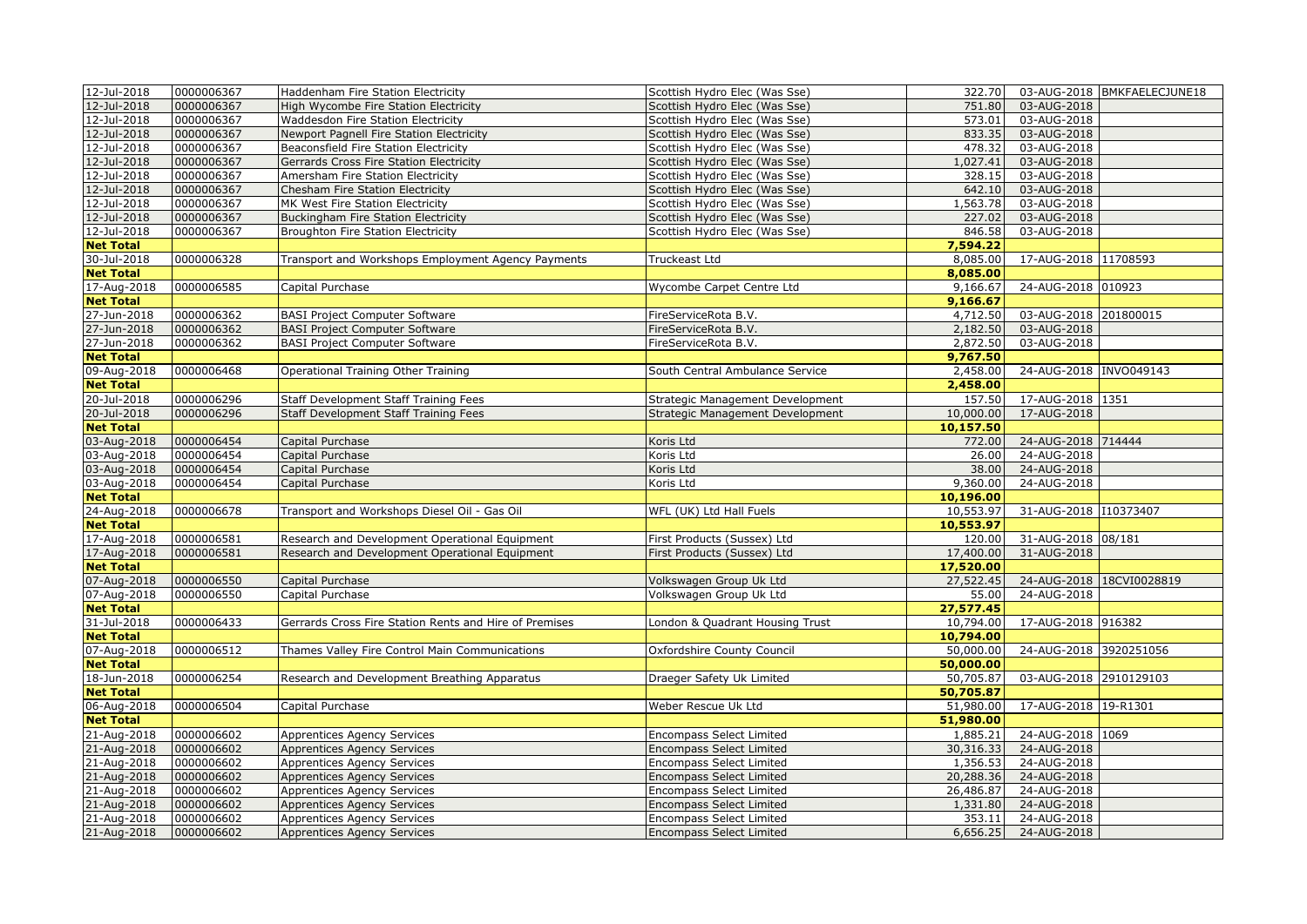| 12-Jul-2018<br>0000006367<br>751.80<br>03-AUG-2018<br>High Wycombe Fire Station Electricity<br>Scottish Hydro Elec (Was Sse)<br>12-Jul-2018<br>0000006367<br>573.01<br>03-AUG-2018<br><b>Waddesdon Fire Station Electricity</b><br>Scottish Hydro Elec (Was Sse)<br>12-Jul-2018<br>0000006367<br>833.35<br>03-AUG-2018<br>Newport Pagnell Fire Station Electricity<br>Scottish Hydro Elec (Was Sse)<br>12-Jul-2018<br>0000006367<br>03-AUG-2018<br>Beaconsfield Fire Station Electricity<br>Scottish Hydro Elec (Was Sse)<br>478.32<br>12-Jul-2018<br>0000006367<br>1,027.41<br>03-AUG-2018<br>Gerrards Cross Fire Station Electricity<br>Scottish Hydro Elec (Was Sse)<br>12-Jul-2018<br>0000006367<br>Amersham Fire Station Electricity<br>328.15<br>03-AUG-2018<br>Scottish Hydro Elec (Was Sse)<br>12-Jul-2018<br>0000006367<br>03-AUG-2018<br>Chesham Fire Station Electricity<br>Scottish Hydro Elec (Was Sse)<br>642.10<br>12-Jul-2018<br>0000006367<br>1,563.78<br>03-AUG-2018<br>MK West Fire Station Electricity<br>Scottish Hydro Elec (Was Sse)<br>0000006367<br>12-Jul-2018<br>Buckingham Fire Station Electricity<br>227.02<br>03-AUG-2018<br>Scottish Hydro Elec (Was Sse)<br>12-Jul-2018<br>0000006367<br>846.58<br>03-AUG-2018<br>Broughton Fire Station Electricity<br>Scottish Hydro Elec (Was Sse)<br>7,594.22<br><b>Net Total</b><br>30-Jul-2018<br>17-AUG-2018 11708593<br>0000006328<br>Transport and Workshops Employment Agency Payments<br>Truckeast Ltd<br>8,085.00<br><b>Net Total</b><br>8,085.00<br>24-AUG-2018 010923<br>17-Aug-2018<br>0000006585<br>9,166.67<br>Capital Purchase<br>Wycombe Carpet Centre Ltd<br><b>Net Total</b><br>9,166.67<br>27-Jun-2018<br>0000006362<br>4,712.50<br>03-AUG-2018 201800015<br><b>BASI Project Computer Software</b><br>FireServiceRota B.V.<br>27-Jun-2018<br>0000006362<br>03-AUG-2018<br><b>BASI Project Computer Software</b><br>FireServiceRota B.V.<br>2,182.50<br>0000006362<br>27-Jun-2018<br><b>BASI Project Computer Software</b><br>FireServiceRota B.V.<br>2,872.50<br>03-AUG-2018<br>9,767.50<br><b>Net Total</b><br>09-Aug-2018<br>0000006468<br>Operational Training Other Training<br>South Central Ambulance Service<br>2,458.00<br>24-AUG-2018 INVO049143<br>2,458.00<br><b>Net Total</b><br>20-Jul-2018<br>0000006296<br>157.50<br>17-AUG-2018 1351<br>Staff Development Staff Training Fees<br>Strategic Management Development<br>20-Jul-2018<br>0000006296<br>17-AUG-2018<br>Staff Development Staff Training Fees<br>Strategic Management Development<br>10,000.00<br>10,157.50<br><b>Net Total</b><br>03-Aug-2018<br>0000006454<br>Koris Ltd<br>772.00<br>24-AUG-2018 714444<br>Capital Purchase<br>03-Aug-2018<br>0000006454<br>24-AUG-2018<br>Capital Purchase<br>Koris Ltd<br>26.00<br>03-Aug-2018<br>0000006454<br>24-AUG-2018<br>Capital Purchase<br>Koris Ltd<br>38.00<br>03-Aug-2018<br>0000006454<br>9,360.00<br>24-AUG-2018<br>Capital Purchase<br>Koris Ltd<br>10,196.00<br><b>Net Total</b><br>0000006678<br>31-AUG-2018 110373407<br>24-Aug-2018<br>Transport and Workshops Diesel Oil - Gas Oil<br>WFL (UK) Ltd Hall Fuels<br>10,553.97<br><b>Net Total</b><br>10,553.97<br>17-Aug-2018<br>0000006581<br>120.00<br>31-AUG-2018 08/181<br>Research and Development Operational Equipment<br>First Products (Sussex) Ltd<br>17-Aug-2018<br>0000006581<br>First Products (Sussex) Ltd<br>17,400.00<br>31-AUG-2018<br>Research and Development Operational Equipment<br>17,520.00<br><b>Net Total</b><br>0000006550<br>24-AUG-2018 18CVI0028819<br>07-Aug-2018<br>Volkswagen Group Uk Ltd<br>27,522.45<br>Capital Purchase<br>0000006550<br>24-AUG-2018<br>07-Aug-2018<br>Capital Purchase<br>Volkswagen Group Uk Ltd<br>55.00<br><b>Net Total</b><br>27,577.45<br>31-Jul-2018<br>10,794.00<br>17-AUG-2018 916382<br>0000006433<br>Gerrards Cross Fire Station Rents and Hire of Premises<br>London & Quadrant Housing Trust<br><b>Net Total</b><br>10,794.00<br>0000006512<br>50,000.00<br>24-AUG-2018 3920251056<br>07-Aug-2018<br>Thames Valley Fire Control Main Communications<br>Oxfordshire County Council<br>50,000.00<br><b>Net Total</b><br>18-Jun-2018<br>0000006254<br>50,705.87<br>03-AUG-2018 2910129103<br>Draeger Safety Uk Limited<br>Research and Development Breathing Apparatus<br><b>Net Total</b><br>50,705.87<br>0000006504<br>17-AUG-2018 19-R1301<br>06-Aug-2018<br>Weber Rescue Uk Ltd<br>51,980.00<br>Capital Purchase<br>51,980.00<br><b>Net Total</b><br>21-Aug-2018<br>0000006602<br>24-AUG-2018 1069<br><b>Encompass Select Limited</b><br>1,885.21<br><b>Apprentices Agency Services</b><br>21-Aug-2018<br>0000006602<br>30,316.33<br>24-AUG-2018<br>Apprentices Agency Services<br><b>Encompass Select Limited</b><br>0000006602<br>21-Aug-2018<br>1,356.53<br>24-AUG-2018<br>Apprentices Agency Services<br><b>Encompass Select Limited</b><br>0000006602<br>21-Aug-2018<br>20,288.36<br>24-AUG-2018<br><b>Apprentices Agency Services</b><br><b>Encompass Select Limited</b><br>21-Aug-2018<br>0000006602<br>26,486.87<br>24-AUG-2018<br>Apprentices Agency Services<br><b>Encompass Select Limited</b><br>21-Aug-2018<br>0000006602<br><b>Encompass Select Limited</b><br>1,331.80<br>24-AUG-2018<br>Apprentices Agency Services<br>21-Aug-2018<br>0000006602<br>24-AUG-2018<br>Apprentices Agency Services<br><b>Encompass Select Limited</b><br>353.11<br>21-Aug-2018<br>0000006602<br>24-AUG-2018<br><b>Apprentices Agency Services</b><br><b>Encompass Select Limited</b><br>6,656.25 | 12-Jul-2018 | 0000006367 | Haddenham Fire Station Electricity | Scottish Hydro Elec (Was Sse) | 322.70 | 03-AUG-2018 BMKFAELECJUNE18 |
|-------------------------------------------------------------------------------------------------------------------------------------------------------------------------------------------------------------------------------------------------------------------------------------------------------------------------------------------------------------------------------------------------------------------------------------------------------------------------------------------------------------------------------------------------------------------------------------------------------------------------------------------------------------------------------------------------------------------------------------------------------------------------------------------------------------------------------------------------------------------------------------------------------------------------------------------------------------------------------------------------------------------------------------------------------------------------------------------------------------------------------------------------------------------------------------------------------------------------------------------------------------------------------------------------------------------------------------------------------------------------------------------------------------------------------------------------------------------------------------------------------------------------------------------------------------------------------------------------------------------------------------------------------------------------------------------------------------------------------------------------------------------------------------------------------------------------------------------------------------------------------------------------------------------------------------------------------------------------------------------------------------------------------------------------------------------------------------------------------------------------------------------------------------------------------------------------------------------------------------------------------------------------------------------------------------------------------------------------------------------------------------------------------------------------------------------------------------------------------------------------------------------------------------------------------------------------------------------------------------------------------------------------------------------------------------------------------------------------------------------------------------------------------------------------------------------------------------------------------------------------------------------------------------------------------------------------------------------------------------------------------------------------------------------------------------------------------------------------------------------------------------------------------------------------------------------------------------------------------------------------------------------------------------------------------------------------------------------------------------------------------------------------------------------------------------------------------------------------------------------------------------------------------------------------------------------------------------------------------------------------------------------------------------------------------------------------------------------------------------------------------------------------------------------------------------------------------------------------------------------------------------------------------------------------------------------------------------------------------------------------------------------------------------------------------------------------------------------------------------------------------------------------------------------------------------------------------------------------------------------------------------------------------------------------------------------------------------------------------------------------------------------------------------------------------------------------------------------------------------------------------------------------------------------------------------------------------------------------------------------------------------------------------------------------------------------------------------------------------------------------------------------------------------------------------------------------------------------------------------------------------------------------------------------------------------------------------------------------------------------------------------------------------------------------------------------------------------------------------------------------------------------------------------------------------------------------------------------------------------------------------------------------------------------------------------------------------------------------------------------------------------------------------------------------------------------------------------------------------------------------------------------------------------|-------------|------------|------------------------------------|-------------------------------|--------|-----------------------------|
|                                                                                                                                                                                                                                                                                                                                                                                                                                                                                                                                                                                                                                                                                                                                                                                                                                                                                                                                                                                                                                                                                                                                                                                                                                                                                                                                                                                                                                                                                                                                                                                                                                                                                                                                                                                                                                                                                                                                                                                                                                                                                                                                                                                                                                                                                                                                                                                                                                                                                                                                                                                                                                                                                                                                                                                                                                                                                                                                                                                                                                                                                                                                                                                                                                                                                                                                                                                                                                                                                                                                                                                                                                                                                                                                                                                                                                                                                                                                                                                                                                                                                                                                                                                                                                                                                                                                                                                                                                                                                                                                                                                                                                                                                                                                                                                                                                                                                                                                                                                                                                                                                                                                                                                                                                                                                                                                                                                                                                                                                                                                     |             |            |                                    |                               |        |                             |
|                                                                                                                                                                                                                                                                                                                                                                                                                                                                                                                                                                                                                                                                                                                                                                                                                                                                                                                                                                                                                                                                                                                                                                                                                                                                                                                                                                                                                                                                                                                                                                                                                                                                                                                                                                                                                                                                                                                                                                                                                                                                                                                                                                                                                                                                                                                                                                                                                                                                                                                                                                                                                                                                                                                                                                                                                                                                                                                                                                                                                                                                                                                                                                                                                                                                                                                                                                                                                                                                                                                                                                                                                                                                                                                                                                                                                                                                                                                                                                                                                                                                                                                                                                                                                                                                                                                                                                                                                                                                                                                                                                                                                                                                                                                                                                                                                                                                                                                                                                                                                                                                                                                                                                                                                                                                                                                                                                                                                                                                                                                                     |             |            |                                    |                               |        |                             |
|                                                                                                                                                                                                                                                                                                                                                                                                                                                                                                                                                                                                                                                                                                                                                                                                                                                                                                                                                                                                                                                                                                                                                                                                                                                                                                                                                                                                                                                                                                                                                                                                                                                                                                                                                                                                                                                                                                                                                                                                                                                                                                                                                                                                                                                                                                                                                                                                                                                                                                                                                                                                                                                                                                                                                                                                                                                                                                                                                                                                                                                                                                                                                                                                                                                                                                                                                                                                                                                                                                                                                                                                                                                                                                                                                                                                                                                                                                                                                                                                                                                                                                                                                                                                                                                                                                                                                                                                                                                                                                                                                                                                                                                                                                                                                                                                                                                                                                                                                                                                                                                                                                                                                                                                                                                                                                                                                                                                                                                                                                                                     |             |            |                                    |                               |        |                             |
|                                                                                                                                                                                                                                                                                                                                                                                                                                                                                                                                                                                                                                                                                                                                                                                                                                                                                                                                                                                                                                                                                                                                                                                                                                                                                                                                                                                                                                                                                                                                                                                                                                                                                                                                                                                                                                                                                                                                                                                                                                                                                                                                                                                                                                                                                                                                                                                                                                                                                                                                                                                                                                                                                                                                                                                                                                                                                                                                                                                                                                                                                                                                                                                                                                                                                                                                                                                                                                                                                                                                                                                                                                                                                                                                                                                                                                                                                                                                                                                                                                                                                                                                                                                                                                                                                                                                                                                                                                                                                                                                                                                                                                                                                                                                                                                                                                                                                                                                                                                                                                                                                                                                                                                                                                                                                                                                                                                                                                                                                                                                     |             |            |                                    |                               |        |                             |
|                                                                                                                                                                                                                                                                                                                                                                                                                                                                                                                                                                                                                                                                                                                                                                                                                                                                                                                                                                                                                                                                                                                                                                                                                                                                                                                                                                                                                                                                                                                                                                                                                                                                                                                                                                                                                                                                                                                                                                                                                                                                                                                                                                                                                                                                                                                                                                                                                                                                                                                                                                                                                                                                                                                                                                                                                                                                                                                                                                                                                                                                                                                                                                                                                                                                                                                                                                                                                                                                                                                                                                                                                                                                                                                                                                                                                                                                                                                                                                                                                                                                                                                                                                                                                                                                                                                                                                                                                                                                                                                                                                                                                                                                                                                                                                                                                                                                                                                                                                                                                                                                                                                                                                                                                                                                                                                                                                                                                                                                                                                                     |             |            |                                    |                               |        |                             |
|                                                                                                                                                                                                                                                                                                                                                                                                                                                                                                                                                                                                                                                                                                                                                                                                                                                                                                                                                                                                                                                                                                                                                                                                                                                                                                                                                                                                                                                                                                                                                                                                                                                                                                                                                                                                                                                                                                                                                                                                                                                                                                                                                                                                                                                                                                                                                                                                                                                                                                                                                                                                                                                                                                                                                                                                                                                                                                                                                                                                                                                                                                                                                                                                                                                                                                                                                                                                                                                                                                                                                                                                                                                                                                                                                                                                                                                                                                                                                                                                                                                                                                                                                                                                                                                                                                                                                                                                                                                                                                                                                                                                                                                                                                                                                                                                                                                                                                                                                                                                                                                                                                                                                                                                                                                                                                                                                                                                                                                                                                                                     |             |            |                                    |                               |        |                             |
|                                                                                                                                                                                                                                                                                                                                                                                                                                                                                                                                                                                                                                                                                                                                                                                                                                                                                                                                                                                                                                                                                                                                                                                                                                                                                                                                                                                                                                                                                                                                                                                                                                                                                                                                                                                                                                                                                                                                                                                                                                                                                                                                                                                                                                                                                                                                                                                                                                                                                                                                                                                                                                                                                                                                                                                                                                                                                                                                                                                                                                                                                                                                                                                                                                                                                                                                                                                                                                                                                                                                                                                                                                                                                                                                                                                                                                                                                                                                                                                                                                                                                                                                                                                                                                                                                                                                                                                                                                                                                                                                                                                                                                                                                                                                                                                                                                                                                                                                                                                                                                                                                                                                                                                                                                                                                                                                                                                                                                                                                                                                     |             |            |                                    |                               |        |                             |
|                                                                                                                                                                                                                                                                                                                                                                                                                                                                                                                                                                                                                                                                                                                                                                                                                                                                                                                                                                                                                                                                                                                                                                                                                                                                                                                                                                                                                                                                                                                                                                                                                                                                                                                                                                                                                                                                                                                                                                                                                                                                                                                                                                                                                                                                                                                                                                                                                                                                                                                                                                                                                                                                                                                                                                                                                                                                                                                                                                                                                                                                                                                                                                                                                                                                                                                                                                                                                                                                                                                                                                                                                                                                                                                                                                                                                                                                                                                                                                                                                                                                                                                                                                                                                                                                                                                                                                                                                                                                                                                                                                                                                                                                                                                                                                                                                                                                                                                                                                                                                                                                                                                                                                                                                                                                                                                                                                                                                                                                                                                                     |             |            |                                    |                               |        |                             |
|                                                                                                                                                                                                                                                                                                                                                                                                                                                                                                                                                                                                                                                                                                                                                                                                                                                                                                                                                                                                                                                                                                                                                                                                                                                                                                                                                                                                                                                                                                                                                                                                                                                                                                                                                                                                                                                                                                                                                                                                                                                                                                                                                                                                                                                                                                                                                                                                                                                                                                                                                                                                                                                                                                                                                                                                                                                                                                                                                                                                                                                                                                                                                                                                                                                                                                                                                                                                                                                                                                                                                                                                                                                                                                                                                                                                                                                                                                                                                                                                                                                                                                                                                                                                                                                                                                                                                                                                                                                                                                                                                                                                                                                                                                                                                                                                                                                                                                                                                                                                                                                                                                                                                                                                                                                                                                                                                                                                                                                                                                                                     |             |            |                                    |                               |        |                             |
|                                                                                                                                                                                                                                                                                                                                                                                                                                                                                                                                                                                                                                                                                                                                                                                                                                                                                                                                                                                                                                                                                                                                                                                                                                                                                                                                                                                                                                                                                                                                                                                                                                                                                                                                                                                                                                                                                                                                                                                                                                                                                                                                                                                                                                                                                                                                                                                                                                                                                                                                                                                                                                                                                                                                                                                                                                                                                                                                                                                                                                                                                                                                                                                                                                                                                                                                                                                                                                                                                                                                                                                                                                                                                                                                                                                                                                                                                                                                                                                                                                                                                                                                                                                                                                                                                                                                                                                                                                                                                                                                                                                                                                                                                                                                                                                                                                                                                                                                                                                                                                                                                                                                                                                                                                                                                                                                                                                                                                                                                                                                     |             |            |                                    |                               |        |                             |
|                                                                                                                                                                                                                                                                                                                                                                                                                                                                                                                                                                                                                                                                                                                                                                                                                                                                                                                                                                                                                                                                                                                                                                                                                                                                                                                                                                                                                                                                                                                                                                                                                                                                                                                                                                                                                                                                                                                                                                                                                                                                                                                                                                                                                                                                                                                                                                                                                                                                                                                                                                                                                                                                                                                                                                                                                                                                                                                                                                                                                                                                                                                                                                                                                                                                                                                                                                                                                                                                                                                                                                                                                                                                                                                                                                                                                                                                                                                                                                                                                                                                                                                                                                                                                                                                                                                                                                                                                                                                                                                                                                                                                                                                                                                                                                                                                                                                                                                                                                                                                                                                                                                                                                                                                                                                                                                                                                                                                                                                                                                                     |             |            |                                    |                               |        |                             |
|                                                                                                                                                                                                                                                                                                                                                                                                                                                                                                                                                                                                                                                                                                                                                                                                                                                                                                                                                                                                                                                                                                                                                                                                                                                                                                                                                                                                                                                                                                                                                                                                                                                                                                                                                                                                                                                                                                                                                                                                                                                                                                                                                                                                                                                                                                                                                                                                                                                                                                                                                                                                                                                                                                                                                                                                                                                                                                                                                                                                                                                                                                                                                                                                                                                                                                                                                                                                                                                                                                                                                                                                                                                                                                                                                                                                                                                                                                                                                                                                                                                                                                                                                                                                                                                                                                                                                                                                                                                                                                                                                                                                                                                                                                                                                                                                                                                                                                                                                                                                                                                                                                                                                                                                                                                                                                                                                                                                                                                                                                                                     |             |            |                                    |                               |        |                             |
|                                                                                                                                                                                                                                                                                                                                                                                                                                                                                                                                                                                                                                                                                                                                                                                                                                                                                                                                                                                                                                                                                                                                                                                                                                                                                                                                                                                                                                                                                                                                                                                                                                                                                                                                                                                                                                                                                                                                                                                                                                                                                                                                                                                                                                                                                                                                                                                                                                                                                                                                                                                                                                                                                                                                                                                                                                                                                                                                                                                                                                                                                                                                                                                                                                                                                                                                                                                                                                                                                                                                                                                                                                                                                                                                                                                                                                                                                                                                                                                                                                                                                                                                                                                                                                                                                                                                                                                                                                                                                                                                                                                                                                                                                                                                                                                                                                                                                                                                                                                                                                                                                                                                                                                                                                                                                                                                                                                                                                                                                                                                     |             |            |                                    |                               |        |                             |
|                                                                                                                                                                                                                                                                                                                                                                                                                                                                                                                                                                                                                                                                                                                                                                                                                                                                                                                                                                                                                                                                                                                                                                                                                                                                                                                                                                                                                                                                                                                                                                                                                                                                                                                                                                                                                                                                                                                                                                                                                                                                                                                                                                                                                                                                                                                                                                                                                                                                                                                                                                                                                                                                                                                                                                                                                                                                                                                                                                                                                                                                                                                                                                                                                                                                                                                                                                                                                                                                                                                                                                                                                                                                                                                                                                                                                                                                                                                                                                                                                                                                                                                                                                                                                                                                                                                                                                                                                                                                                                                                                                                                                                                                                                                                                                                                                                                                                                                                                                                                                                                                                                                                                                                                                                                                                                                                                                                                                                                                                                                                     |             |            |                                    |                               |        |                             |
|                                                                                                                                                                                                                                                                                                                                                                                                                                                                                                                                                                                                                                                                                                                                                                                                                                                                                                                                                                                                                                                                                                                                                                                                                                                                                                                                                                                                                                                                                                                                                                                                                                                                                                                                                                                                                                                                                                                                                                                                                                                                                                                                                                                                                                                                                                                                                                                                                                                                                                                                                                                                                                                                                                                                                                                                                                                                                                                                                                                                                                                                                                                                                                                                                                                                                                                                                                                                                                                                                                                                                                                                                                                                                                                                                                                                                                                                                                                                                                                                                                                                                                                                                                                                                                                                                                                                                                                                                                                                                                                                                                                                                                                                                                                                                                                                                                                                                                                                                                                                                                                                                                                                                                                                                                                                                                                                                                                                                                                                                                                                     |             |            |                                    |                               |        |                             |
|                                                                                                                                                                                                                                                                                                                                                                                                                                                                                                                                                                                                                                                                                                                                                                                                                                                                                                                                                                                                                                                                                                                                                                                                                                                                                                                                                                                                                                                                                                                                                                                                                                                                                                                                                                                                                                                                                                                                                                                                                                                                                                                                                                                                                                                                                                                                                                                                                                                                                                                                                                                                                                                                                                                                                                                                                                                                                                                                                                                                                                                                                                                                                                                                                                                                                                                                                                                                                                                                                                                                                                                                                                                                                                                                                                                                                                                                                                                                                                                                                                                                                                                                                                                                                                                                                                                                                                                                                                                                                                                                                                                                                                                                                                                                                                                                                                                                                                                                                                                                                                                                                                                                                                                                                                                                                                                                                                                                                                                                                                                                     |             |            |                                    |                               |        |                             |
|                                                                                                                                                                                                                                                                                                                                                                                                                                                                                                                                                                                                                                                                                                                                                                                                                                                                                                                                                                                                                                                                                                                                                                                                                                                                                                                                                                                                                                                                                                                                                                                                                                                                                                                                                                                                                                                                                                                                                                                                                                                                                                                                                                                                                                                                                                                                                                                                                                                                                                                                                                                                                                                                                                                                                                                                                                                                                                                                                                                                                                                                                                                                                                                                                                                                                                                                                                                                                                                                                                                                                                                                                                                                                                                                                                                                                                                                                                                                                                                                                                                                                                                                                                                                                                                                                                                                                                                                                                                                                                                                                                                                                                                                                                                                                                                                                                                                                                                                                                                                                                                                                                                                                                                                                                                                                                                                                                                                                                                                                                                                     |             |            |                                    |                               |        |                             |
|                                                                                                                                                                                                                                                                                                                                                                                                                                                                                                                                                                                                                                                                                                                                                                                                                                                                                                                                                                                                                                                                                                                                                                                                                                                                                                                                                                                                                                                                                                                                                                                                                                                                                                                                                                                                                                                                                                                                                                                                                                                                                                                                                                                                                                                                                                                                                                                                                                                                                                                                                                                                                                                                                                                                                                                                                                                                                                                                                                                                                                                                                                                                                                                                                                                                                                                                                                                                                                                                                                                                                                                                                                                                                                                                                                                                                                                                                                                                                                                                                                                                                                                                                                                                                                                                                                                                                                                                                                                                                                                                                                                                                                                                                                                                                                                                                                                                                                                                                                                                                                                                                                                                                                                                                                                                                                                                                                                                                                                                                                                                     |             |            |                                    |                               |        |                             |
|                                                                                                                                                                                                                                                                                                                                                                                                                                                                                                                                                                                                                                                                                                                                                                                                                                                                                                                                                                                                                                                                                                                                                                                                                                                                                                                                                                                                                                                                                                                                                                                                                                                                                                                                                                                                                                                                                                                                                                                                                                                                                                                                                                                                                                                                                                                                                                                                                                                                                                                                                                                                                                                                                                                                                                                                                                                                                                                                                                                                                                                                                                                                                                                                                                                                                                                                                                                                                                                                                                                                                                                                                                                                                                                                                                                                                                                                                                                                                                                                                                                                                                                                                                                                                                                                                                                                                                                                                                                                                                                                                                                                                                                                                                                                                                                                                                                                                                                                                                                                                                                                                                                                                                                                                                                                                                                                                                                                                                                                                                                                     |             |            |                                    |                               |        |                             |
|                                                                                                                                                                                                                                                                                                                                                                                                                                                                                                                                                                                                                                                                                                                                                                                                                                                                                                                                                                                                                                                                                                                                                                                                                                                                                                                                                                                                                                                                                                                                                                                                                                                                                                                                                                                                                                                                                                                                                                                                                                                                                                                                                                                                                                                                                                                                                                                                                                                                                                                                                                                                                                                                                                                                                                                                                                                                                                                                                                                                                                                                                                                                                                                                                                                                                                                                                                                                                                                                                                                                                                                                                                                                                                                                                                                                                                                                                                                                                                                                                                                                                                                                                                                                                                                                                                                                                                                                                                                                                                                                                                                                                                                                                                                                                                                                                                                                                                                                                                                                                                                                                                                                                                                                                                                                                                                                                                                                                                                                                                                                     |             |            |                                    |                               |        |                             |
|                                                                                                                                                                                                                                                                                                                                                                                                                                                                                                                                                                                                                                                                                                                                                                                                                                                                                                                                                                                                                                                                                                                                                                                                                                                                                                                                                                                                                                                                                                                                                                                                                                                                                                                                                                                                                                                                                                                                                                                                                                                                                                                                                                                                                                                                                                                                                                                                                                                                                                                                                                                                                                                                                                                                                                                                                                                                                                                                                                                                                                                                                                                                                                                                                                                                                                                                                                                                                                                                                                                                                                                                                                                                                                                                                                                                                                                                                                                                                                                                                                                                                                                                                                                                                                                                                                                                                                                                                                                                                                                                                                                                                                                                                                                                                                                                                                                                                                                                                                                                                                                                                                                                                                                                                                                                                                                                                                                                                                                                                                                                     |             |            |                                    |                               |        |                             |
|                                                                                                                                                                                                                                                                                                                                                                                                                                                                                                                                                                                                                                                                                                                                                                                                                                                                                                                                                                                                                                                                                                                                                                                                                                                                                                                                                                                                                                                                                                                                                                                                                                                                                                                                                                                                                                                                                                                                                                                                                                                                                                                                                                                                                                                                                                                                                                                                                                                                                                                                                                                                                                                                                                                                                                                                                                                                                                                                                                                                                                                                                                                                                                                                                                                                                                                                                                                                                                                                                                                                                                                                                                                                                                                                                                                                                                                                                                                                                                                                                                                                                                                                                                                                                                                                                                                                                                                                                                                                                                                                                                                                                                                                                                                                                                                                                                                                                                                                                                                                                                                                                                                                                                                                                                                                                                                                                                                                                                                                                                                                     |             |            |                                    |                               |        |                             |
|                                                                                                                                                                                                                                                                                                                                                                                                                                                                                                                                                                                                                                                                                                                                                                                                                                                                                                                                                                                                                                                                                                                                                                                                                                                                                                                                                                                                                                                                                                                                                                                                                                                                                                                                                                                                                                                                                                                                                                                                                                                                                                                                                                                                                                                                                                                                                                                                                                                                                                                                                                                                                                                                                                                                                                                                                                                                                                                                                                                                                                                                                                                                                                                                                                                                                                                                                                                                                                                                                                                                                                                                                                                                                                                                                                                                                                                                                                                                                                                                                                                                                                                                                                                                                                                                                                                                                                                                                                                                                                                                                                                                                                                                                                                                                                                                                                                                                                                                                                                                                                                                                                                                                                                                                                                                                                                                                                                                                                                                                                                                     |             |            |                                    |                               |        |                             |
|                                                                                                                                                                                                                                                                                                                                                                                                                                                                                                                                                                                                                                                                                                                                                                                                                                                                                                                                                                                                                                                                                                                                                                                                                                                                                                                                                                                                                                                                                                                                                                                                                                                                                                                                                                                                                                                                                                                                                                                                                                                                                                                                                                                                                                                                                                                                                                                                                                                                                                                                                                                                                                                                                                                                                                                                                                                                                                                                                                                                                                                                                                                                                                                                                                                                                                                                                                                                                                                                                                                                                                                                                                                                                                                                                                                                                                                                                                                                                                                                                                                                                                                                                                                                                                                                                                                                                                                                                                                                                                                                                                                                                                                                                                                                                                                                                                                                                                                                                                                                                                                                                                                                                                                                                                                                                                                                                                                                                                                                                                                                     |             |            |                                    |                               |        |                             |
|                                                                                                                                                                                                                                                                                                                                                                                                                                                                                                                                                                                                                                                                                                                                                                                                                                                                                                                                                                                                                                                                                                                                                                                                                                                                                                                                                                                                                                                                                                                                                                                                                                                                                                                                                                                                                                                                                                                                                                                                                                                                                                                                                                                                                                                                                                                                                                                                                                                                                                                                                                                                                                                                                                                                                                                                                                                                                                                                                                                                                                                                                                                                                                                                                                                                                                                                                                                                                                                                                                                                                                                                                                                                                                                                                                                                                                                                                                                                                                                                                                                                                                                                                                                                                                                                                                                                                                                                                                                                                                                                                                                                                                                                                                                                                                                                                                                                                                                                                                                                                                                                                                                                                                                                                                                                                                                                                                                                                                                                                                                                     |             |            |                                    |                               |        |                             |
|                                                                                                                                                                                                                                                                                                                                                                                                                                                                                                                                                                                                                                                                                                                                                                                                                                                                                                                                                                                                                                                                                                                                                                                                                                                                                                                                                                                                                                                                                                                                                                                                                                                                                                                                                                                                                                                                                                                                                                                                                                                                                                                                                                                                                                                                                                                                                                                                                                                                                                                                                                                                                                                                                                                                                                                                                                                                                                                                                                                                                                                                                                                                                                                                                                                                                                                                                                                                                                                                                                                                                                                                                                                                                                                                                                                                                                                                                                                                                                                                                                                                                                                                                                                                                                                                                                                                                                                                                                                                                                                                                                                                                                                                                                                                                                                                                                                                                                                                                                                                                                                                                                                                                                                                                                                                                                                                                                                                                                                                                                                                     |             |            |                                    |                               |        |                             |
|                                                                                                                                                                                                                                                                                                                                                                                                                                                                                                                                                                                                                                                                                                                                                                                                                                                                                                                                                                                                                                                                                                                                                                                                                                                                                                                                                                                                                                                                                                                                                                                                                                                                                                                                                                                                                                                                                                                                                                                                                                                                                                                                                                                                                                                                                                                                                                                                                                                                                                                                                                                                                                                                                                                                                                                                                                                                                                                                                                                                                                                                                                                                                                                                                                                                                                                                                                                                                                                                                                                                                                                                                                                                                                                                                                                                                                                                                                                                                                                                                                                                                                                                                                                                                                                                                                                                                                                                                                                                                                                                                                                                                                                                                                                                                                                                                                                                                                                                                                                                                                                                                                                                                                                                                                                                                                                                                                                                                                                                                                                                     |             |            |                                    |                               |        |                             |
|                                                                                                                                                                                                                                                                                                                                                                                                                                                                                                                                                                                                                                                                                                                                                                                                                                                                                                                                                                                                                                                                                                                                                                                                                                                                                                                                                                                                                                                                                                                                                                                                                                                                                                                                                                                                                                                                                                                                                                                                                                                                                                                                                                                                                                                                                                                                                                                                                                                                                                                                                                                                                                                                                                                                                                                                                                                                                                                                                                                                                                                                                                                                                                                                                                                                                                                                                                                                                                                                                                                                                                                                                                                                                                                                                                                                                                                                                                                                                                                                                                                                                                                                                                                                                                                                                                                                                                                                                                                                                                                                                                                                                                                                                                                                                                                                                                                                                                                                                                                                                                                                                                                                                                                                                                                                                                                                                                                                                                                                                                                                     |             |            |                                    |                               |        |                             |
|                                                                                                                                                                                                                                                                                                                                                                                                                                                                                                                                                                                                                                                                                                                                                                                                                                                                                                                                                                                                                                                                                                                                                                                                                                                                                                                                                                                                                                                                                                                                                                                                                                                                                                                                                                                                                                                                                                                                                                                                                                                                                                                                                                                                                                                                                                                                                                                                                                                                                                                                                                                                                                                                                                                                                                                                                                                                                                                                                                                                                                                                                                                                                                                                                                                                                                                                                                                                                                                                                                                                                                                                                                                                                                                                                                                                                                                                                                                                                                                                                                                                                                                                                                                                                                                                                                                                                                                                                                                                                                                                                                                                                                                                                                                                                                                                                                                                                                                                                                                                                                                                                                                                                                                                                                                                                                                                                                                                                                                                                                                                     |             |            |                                    |                               |        |                             |
|                                                                                                                                                                                                                                                                                                                                                                                                                                                                                                                                                                                                                                                                                                                                                                                                                                                                                                                                                                                                                                                                                                                                                                                                                                                                                                                                                                                                                                                                                                                                                                                                                                                                                                                                                                                                                                                                                                                                                                                                                                                                                                                                                                                                                                                                                                                                                                                                                                                                                                                                                                                                                                                                                                                                                                                                                                                                                                                                                                                                                                                                                                                                                                                                                                                                                                                                                                                                                                                                                                                                                                                                                                                                                                                                                                                                                                                                                                                                                                                                                                                                                                                                                                                                                                                                                                                                                                                                                                                                                                                                                                                                                                                                                                                                                                                                                                                                                                                                                                                                                                                                                                                                                                                                                                                                                                                                                                                                                                                                                                                                     |             |            |                                    |                               |        |                             |
|                                                                                                                                                                                                                                                                                                                                                                                                                                                                                                                                                                                                                                                                                                                                                                                                                                                                                                                                                                                                                                                                                                                                                                                                                                                                                                                                                                                                                                                                                                                                                                                                                                                                                                                                                                                                                                                                                                                                                                                                                                                                                                                                                                                                                                                                                                                                                                                                                                                                                                                                                                                                                                                                                                                                                                                                                                                                                                                                                                                                                                                                                                                                                                                                                                                                                                                                                                                                                                                                                                                                                                                                                                                                                                                                                                                                                                                                                                                                                                                                                                                                                                                                                                                                                                                                                                                                                                                                                                                                                                                                                                                                                                                                                                                                                                                                                                                                                                                                                                                                                                                                                                                                                                                                                                                                                                                                                                                                                                                                                                                                     |             |            |                                    |                               |        |                             |
|                                                                                                                                                                                                                                                                                                                                                                                                                                                                                                                                                                                                                                                                                                                                                                                                                                                                                                                                                                                                                                                                                                                                                                                                                                                                                                                                                                                                                                                                                                                                                                                                                                                                                                                                                                                                                                                                                                                                                                                                                                                                                                                                                                                                                                                                                                                                                                                                                                                                                                                                                                                                                                                                                                                                                                                                                                                                                                                                                                                                                                                                                                                                                                                                                                                                                                                                                                                                                                                                                                                                                                                                                                                                                                                                                                                                                                                                                                                                                                                                                                                                                                                                                                                                                                                                                                                                                                                                                                                                                                                                                                                                                                                                                                                                                                                                                                                                                                                                                                                                                                                                                                                                                                                                                                                                                                                                                                                                                                                                                                                                     |             |            |                                    |                               |        |                             |
|                                                                                                                                                                                                                                                                                                                                                                                                                                                                                                                                                                                                                                                                                                                                                                                                                                                                                                                                                                                                                                                                                                                                                                                                                                                                                                                                                                                                                                                                                                                                                                                                                                                                                                                                                                                                                                                                                                                                                                                                                                                                                                                                                                                                                                                                                                                                                                                                                                                                                                                                                                                                                                                                                                                                                                                                                                                                                                                                                                                                                                                                                                                                                                                                                                                                                                                                                                                                                                                                                                                                                                                                                                                                                                                                                                                                                                                                                                                                                                                                                                                                                                                                                                                                                                                                                                                                                                                                                                                                                                                                                                                                                                                                                                                                                                                                                                                                                                                                                                                                                                                                                                                                                                                                                                                                                                                                                                                                                                                                                                                                     |             |            |                                    |                               |        |                             |
|                                                                                                                                                                                                                                                                                                                                                                                                                                                                                                                                                                                                                                                                                                                                                                                                                                                                                                                                                                                                                                                                                                                                                                                                                                                                                                                                                                                                                                                                                                                                                                                                                                                                                                                                                                                                                                                                                                                                                                                                                                                                                                                                                                                                                                                                                                                                                                                                                                                                                                                                                                                                                                                                                                                                                                                                                                                                                                                                                                                                                                                                                                                                                                                                                                                                                                                                                                                                                                                                                                                                                                                                                                                                                                                                                                                                                                                                                                                                                                                                                                                                                                                                                                                                                                                                                                                                                                                                                                                                                                                                                                                                                                                                                                                                                                                                                                                                                                                                                                                                                                                                                                                                                                                                                                                                                                                                                                                                                                                                                                                                     |             |            |                                    |                               |        |                             |
|                                                                                                                                                                                                                                                                                                                                                                                                                                                                                                                                                                                                                                                                                                                                                                                                                                                                                                                                                                                                                                                                                                                                                                                                                                                                                                                                                                                                                                                                                                                                                                                                                                                                                                                                                                                                                                                                                                                                                                                                                                                                                                                                                                                                                                                                                                                                                                                                                                                                                                                                                                                                                                                                                                                                                                                                                                                                                                                                                                                                                                                                                                                                                                                                                                                                                                                                                                                                                                                                                                                                                                                                                                                                                                                                                                                                                                                                                                                                                                                                                                                                                                                                                                                                                                                                                                                                                                                                                                                                                                                                                                                                                                                                                                                                                                                                                                                                                                                                                                                                                                                                                                                                                                                                                                                                                                                                                                                                                                                                                                                                     |             |            |                                    |                               |        |                             |
|                                                                                                                                                                                                                                                                                                                                                                                                                                                                                                                                                                                                                                                                                                                                                                                                                                                                                                                                                                                                                                                                                                                                                                                                                                                                                                                                                                                                                                                                                                                                                                                                                                                                                                                                                                                                                                                                                                                                                                                                                                                                                                                                                                                                                                                                                                                                                                                                                                                                                                                                                                                                                                                                                                                                                                                                                                                                                                                                                                                                                                                                                                                                                                                                                                                                                                                                                                                                                                                                                                                                                                                                                                                                                                                                                                                                                                                                                                                                                                                                                                                                                                                                                                                                                                                                                                                                                                                                                                                                                                                                                                                                                                                                                                                                                                                                                                                                                                                                                                                                                                                                                                                                                                                                                                                                                                                                                                                                                                                                                                                                     |             |            |                                    |                               |        |                             |
|                                                                                                                                                                                                                                                                                                                                                                                                                                                                                                                                                                                                                                                                                                                                                                                                                                                                                                                                                                                                                                                                                                                                                                                                                                                                                                                                                                                                                                                                                                                                                                                                                                                                                                                                                                                                                                                                                                                                                                                                                                                                                                                                                                                                                                                                                                                                                                                                                                                                                                                                                                                                                                                                                                                                                                                                                                                                                                                                                                                                                                                                                                                                                                                                                                                                                                                                                                                                                                                                                                                                                                                                                                                                                                                                                                                                                                                                                                                                                                                                                                                                                                                                                                                                                                                                                                                                                                                                                                                                                                                                                                                                                                                                                                                                                                                                                                                                                                                                                                                                                                                                                                                                                                                                                                                                                                                                                                                                                                                                                                                                     |             |            |                                    |                               |        |                             |
|                                                                                                                                                                                                                                                                                                                                                                                                                                                                                                                                                                                                                                                                                                                                                                                                                                                                                                                                                                                                                                                                                                                                                                                                                                                                                                                                                                                                                                                                                                                                                                                                                                                                                                                                                                                                                                                                                                                                                                                                                                                                                                                                                                                                                                                                                                                                                                                                                                                                                                                                                                                                                                                                                                                                                                                                                                                                                                                                                                                                                                                                                                                                                                                                                                                                                                                                                                                                                                                                                                                                                                                                                                                                                                                                                                                                                                                                                                                                                                                                                                                                                                                                                                                                                                                                                                                                                                                                                                                                                                                                                                                                                                                                                                                                                                                                                                                                                                                                                                                                                                                                                                                                                                                                                                                                                                                                                                                                                                                                                                                                     |             |            |                                    |                               |        |                             |
|                                                                                                                                                                                                                                                                                                                                                                                                                                                                                                                                                                                                                                                                                                                                                                                                                                                                                                                                                                                                                                                                                                                                                                                                                                                                                                                                                                                                                                                                                                                                                                                                                                                                                                                                                                                                                                                                                                                                                                                                                                                                                                                                                                                                                                                                                                                                                                                                                                                                                                                                                                                                                                                                                                                                                                                                                                                                                                                                                                                                                                                                                                                                                                                                                                                                                                                                                                                                                                                                                                                                                                                                                                                                                                                                                                                                                                                                                                                                                                                                                                                                                                                                                                                                                                                                                                                                                                                                                                                                                                                                                                                                                                                                                                                                                                                                                                                                                                                                                                                                                                                                                                                                                                                                                                                                                                                                                                                                                                                                                                                                     |             |            |                                    |                               |        |                             |
|                                                                                                                                                                                                                                                                                                                                                                                                                                                                                                                                                                                                                                                                                                                                                                                                                                                                                                                                                                                                                                                                                                                                                                                                                                                                                                                                                                                                                                                                                                                                                                                                                                                                                                                                                                                                                                                                                                                                                                                                                                                                                                                                                                                                                                                                                                                                                                                                                                                                                                                                                                                                                                                                                                                                                                                                                                                                                                                                                                                                                                                                                                                                                                                                                                                                                                                                                                                                                                                                                                                                                                                                                                                                                                                                                                                                                                                                                                                                                                                                                                                                                                                                                                                                                                                                                                                                                                                                                                                                                                                                                                                                                                                                                                                                                                                                                                                                                                                                                                                                                                                                                                                                                                                                                                                                                                                                                                                                                                                                                                                                     |             |            |                                    |                               |        |                             |
|                                                                                                                                                                                                                                                                                                                                                                                                                                                                                                                                                                                                                                                                                                                                                                                                                                                                                                                                                                                                                                                                                                                                                                                                                                                                                                                                                                                                                                                                                                                                                                                                                                                                                                                                                                                                                                                                                                                                                                                                                                                                                                                                                                                                                                                                                                                                                                                                                                                                                                                                                                                                                                                                                                                                                                                                                                                                                                                                                                                                                                                                                                                                                                                                                                                                                                                                                                                                                                                                                                                                                                                                                                                                                                                                                                                                                                                                                                                                                                                                                                                                                                                                                                                                                                                                                                                                                                                                                                                                                                                                                                                                                                                                                                                                                                                                                                                                                                                                                                                                                                                                                                                                                                                                                                                                                                                                                                                                                                                                                                                                     |             |            |                                    |                               |        |                             |
|                                                                                                                                                                                                                                                                                                                                                                                                                                                                                                                                                                                                                                                                                                                                                                                                                                                                                                                                                                                                                                                                                                                                                                                                                                                                                                                                                                                                                                                                                                                                                                                                                                                                                                                                                                                                                                                                                                                                                                                                                                                                                                                                                                                                                                                                                                                                                                                                                                                                                                                                                                                                                                                                                                                                                                                                                                                                                                                                                                                                                                                                                                                                                                                                                                                                                                                                                                                                                                                                                                                                                                                                                                                                                                                                                                                                                                                                                                                                                                                                                                                                                                                                                                                                                                                                                                                                                                                                                                                                                                                                                                                                                                                                                                                                                                                                                                                                                                                                                                                                                                                                                                                                                                                                                                                                                                                                                                                                                                                                                                                                     |             |            |                                    |                               |        |                             |
|                                                                                                                                                                                                                                                                                                                                                                                                                                                                                                                                                                                                                                                                                                                                                                                                                                                                                                                                                                                                                                                                                                                                                                                                                                                                                                                                                                                                                                                                                                                                                                                                                                                                                                                                                                                                                                                                                                                                                                                                                                                                                                                                                                                                                                                                                                                                                                                                                                                                                                                                                                                                                                                                                                                                                                                                                                                                                                                                                                                                                                                                                                                                                                                                                                                                                                                                                                                                                                                                                                                                                                                                                                                                                                                                                                                                                                                                                                                                                                                                                                                                                                                                                                                                                                                                                                                                                                                                                                                                                                                                                                                                                                                                                                                                                                                                                                                                                                                                                                                                                                                                                                                                                                                                                                                                                                                                                                                                                                                                                                                                     |             |            |                                    |                               |        |                             |
|                                                                                                                                                                                                                                                                                                                                                                                                                                                                                                                                                                                                                                                                                                                                                                                                                                                                                                                                                                                                                                                                                                                                                                                                                                                                                                                                                                                                                                                                                                                                                                                                                                                                                                                                                                                                                                                                                                                                                                                                                                                                                                                                                                                                                                                                                                                                                                                                                                                                                                                                                                                                                                                                                                                                                                                                                                                                                                                                                                                                                                                                                                                                                                                                                                                                                                                                                                                                                                                                                                                                                                                                                                                                                                                                                                                                                                                                                                                                                                                                                                                                                                                                                                                                                                                                                                                                                                                                                                                                                                                                                                                                                                                                                                                                                                                                                                                                                                                                                                                                                                                                                                                                                                                                                                                                                                                                                                                                                                                                                                                                     |             |            |                                    |                               |        |                             |
|                                                                                                                                                                                                                                                                                                                                                                                                                                                                                                                                                                                                                                                                                                                                                                                                                                                                                                                                                                                                                                                                                                                                                                                                                                                                                                                                                                                                                                                                                                                                                                                                                                                                                                                                                                                                                                                                                                                                                                                                                                                                                                                                                                                                                                                                                                                                                                                                                                                                                                                                                                                                                                                                                                                                                                                                                                                                                                                                                                                                                                                                                                                                                                                                                                                                                                                                                                                                                                                                                                                                                                                                                                                                                                                                                                                                                                                                                                                                                                                                                                                                                                                                                                                                                                                                                                                                                                                                                                                                                                                                                                                                                                                                                                                                                                                                                                                                                                                                                                                                                                                                                                                                                                                                                                                                                                                                                                                                                                                                                                                                     |             |            |                                    |                               |        |                             |
|                                                                                                                                                                                                                                                                                                                                                                                                                                                                                                                                                                                                                                                                                                                                                                                                                                                                                                                                                                                                                                                                                                                                                                                                                                                                                                                                                                                                                                                                                                                                                                                                                                                                                                                                                                                                                                                                                                                                                                                                                                                                                                                                                                                                                                                                                                                                                                                                                                                                                                                                                                                                                                                                                                                                                                                                                                                                                                                                                                                                                                                                                                                                                                                                                                                                                                                                                                                                                                                                                                                                                                                                                                                                                                                                                                                                                                                                                                                                                                                                                                                                                                                                                                                                                                                                                                                                                                                                                                                                                                                                                                                                                                                                                                                                                                                                                                                                                                                                                                                                                                                                                                                                                                                                                                                                                                                                                                                                                                                                                                                                     |             |            |                                    |                               |        |                             |
|                                                                                                                                                                                                                                                                                                                                                                                                                                                                                                                                                                                                                                                                                                                                                                                                                                                                                                                                                                                                                                                                                                                                                                                                                                                                                                                                                                                                                                                                                                                                                                                                                                                                                                                                                                                                                                                                                                                                                                                                                                                                                                                                                                                                                                                                                                                                                                                                                                                                                                                                                                                                                                                                                                                                                                                                                                                                                                                                                                                                                                                                                                                                                                                                                                                                                                                                                                                                                                                                                                                                                                                                                                                                                                                                                                                                                                                                                                                                                                                                                                                                                                                                                                                                                                                                                                                                                                                                                                                                                                                                                                                                                                                                                                                                                                                                                                                                                                                                                                                                                                                                                                                                                                                                                                                                                                                                                                                                                                                                                                                                     |             |            |                                    |                               |        |                             |
|                                                                                                                                                                                                                                                                                                                                                                                                                                                                                                                                                                                                                                                                                                                                                                                                                                                                                                                                                                                                                                                                                                                                                                                                                                                                                                                                                                                                                                                                                                                                                                                                                                                                                                                                                                                                                                                                                                                                                                                                                                                                                                                                                                                                                                                                                                                                                                                                                                                                                                                                                                                                                                                                                                                                                                                                                                                                                                                                                                                                                                                                                                                                                                                                                                                                                                                                                                                                                                                                                                                                                                                                                                                                                                                                                                                                                                                                                                                                                                                                                                                                                                                                                                                                                                                                                                                                                                                                                                                                                                                                                                                                                                                                                                                                                                                                                                                                                                                                                                                                                                                                                                                                                                                                                                                                                                                                                                                                                                                                                                                                     |             |            |                                    |                               |        |                             |
|                                                                                                                                                                                                                                                                                                                                                                                                                                                                                                                                                                                                                                                                                                                                                                                                                                                                                                                                                                                                                                                                                                                                                                                                                                                                                                                                                                                                                                                                                                                                                                                                                                                                                                                                                                                                                                                                                                                                                                                                                                                                                                                                                                                                                                                                                                                                                                                                                                                                                                                                                                                                                                                                                                                                                                                                                                                                                                                                                                                                                                                                                                                                                                                                                                                                                                                                                                                                                                                                                                                                                                                                                                                                                                                                                                                                                                                                                                                                                                                                                                                                                                                                                                                                                                                                                                                                                                                                                                                                                                                                                                                                                                                                                                                                                                                                                                                                                                                                                                                                                                                                                                                                                                                                                                                                                                                                                                                                                                                                                                                                     |             |            |                                    |                               |        |                             |
|                                                                                                                                                                                                                                                                                                                                                                                                                                                                                                                                                                                                                                                                                                                                                                                                                                                                                                                                                                                                                                                                                                                                                                                                                                                                                                                                                                                                                                                                                                                                                                                                                                                                                                                                                                                                                                                                                                                                                                                                                                                                                                                                                                                                                                                                                                                                                                                                                                                                                                                                                                                                                                                                                                                                                                                                                                                                                                                                                                                                                                                                                                                                                                                                                                                                                                                                                                                                                                                                                                                                                                                                                                                                                                                                                                                                                                                                                                                                                                                                                                                                                                                                                                                                                                                                                                                                                                                                                                                                                                                                                                                                                                                                                                                                                                                                                                                                                                                                                                                                                                                                                                                                                                                                                                                                                                                                                                                                                                                                                                                                     |             |            |                                    |                               |        |                             |
|                                                                                                                                                                                                                                                                                                                                                                                                                                                                                                                                                                                                                                                                                                                                                                                                                                                                                                                                                                                                                                                                                                                                                                                                                                                                                                                                                                                                                                                                                                                                                                                                                                                                                                                                                                                                                                                                                                                                                                                                                                                                                                                                                                                                                                                                                                                                                                                                                                                                                                                                                                                                                                                                                                                                                                                                                                                                                                                                                                                                                                                                                                                                                                                                                                                                                                                                                                                                                                                                                                                                                                                                                                                                                                                                                                                                                                                                                                                                                                                                                                                                                                                                                                                                                                                                                                                                                                                                                                                                                                                                                                                                                                                                                                                                                                                                                                                                                                                                                                                                                                                                                                                                                                                                                                                                                                                                                                                                                                                                                                                                     |             |            |                                    |                               |        |                             |
|                                                                                                                                                                                                                                                                                                                                                                                                                                                                                                                                                                                                                                                                                                                                                                                                                                                                                                                                                                                                                                                                                                                                                                                                                                                                                                                                                                                                                                                                                                                                                                                                                                                                                                                                                                                                                                                                                                                                                                                                                                                                                                                                                                                                                                                                                                                                                                                                                                                                                                                                                                                                                                                                                                                                                                                                                                                                                                                                                                                                                                                                                                                                                                                                                                                                                                                                                                                                                                                                                                                                                                                                                                                                                                                                                                                                                                                                                                                                                                                                                                                                                                                                                                                                                                                                                                                                                                                                                                                                                                                                                                                                                                                                                                                                                                                                                                                                                                                                                                                                                                                                                                                                                                                                                                                                                                                                                                                                                                                                                                                                     |             |            |                                    |                               |        |                             |
|                                                                                                                                                                                                                                                                                                                                                                                                                                                                                                                                                                                                                                                                                                                                                                                                                                                                                                                                                                                                                                                                                                                                                                                                                                                                                                                                                                                                                                                                                                                                                                                                                                                                                                                                                                                                                                                                                                                                                                                                                                                                                                                                                                                                                                                                                                                                                                                                                                                                                                                                                                                                                                                                                                                                                                                                                                                                                                                                                                                                                                                                                                                                                                                                                                                                                                                                                                                                                                                                                                                                                                                                                                                                                                                                                                                                                                                                                                                                                                                                                                                                                                                                                                                                                                                                                                                                                                                                                                                                                                                                                                                                                                                                                                                                                                                                                                                                                                                                                                                                                                                                                                                                                                                                                                                                                                                                                                                                                                                                                                                                     |             |            |                                    |                               |        |                             |